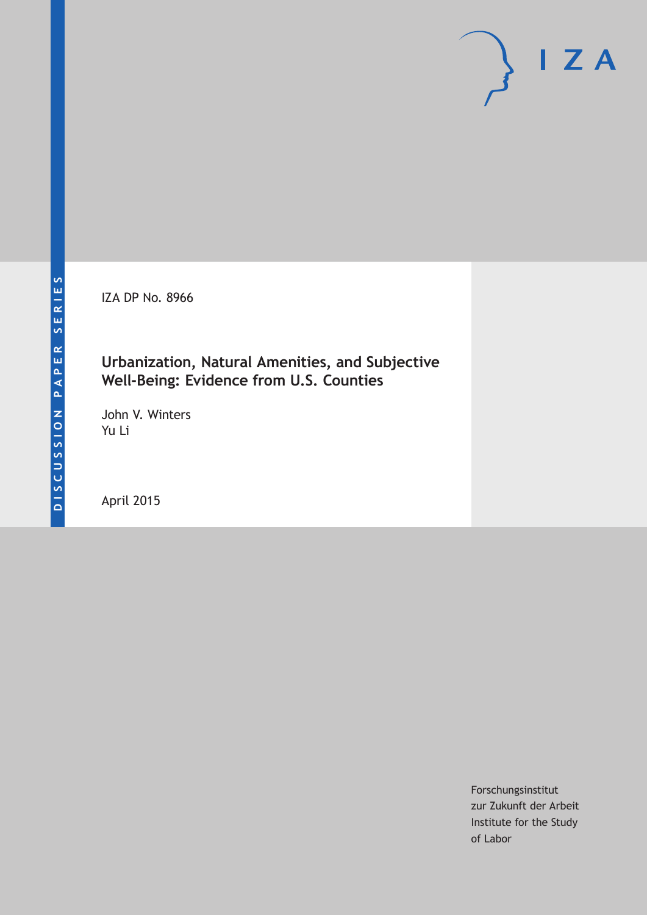IZA DP No. 8966

### **Urbanization, Natural Amenities, and Subjective Well-Being: Evidence from U.S. Counties**

John V. Winters Yu Li

April 2015

Forschungsinstitut zur Zukunft der Arbeit Institute for the Study of Labor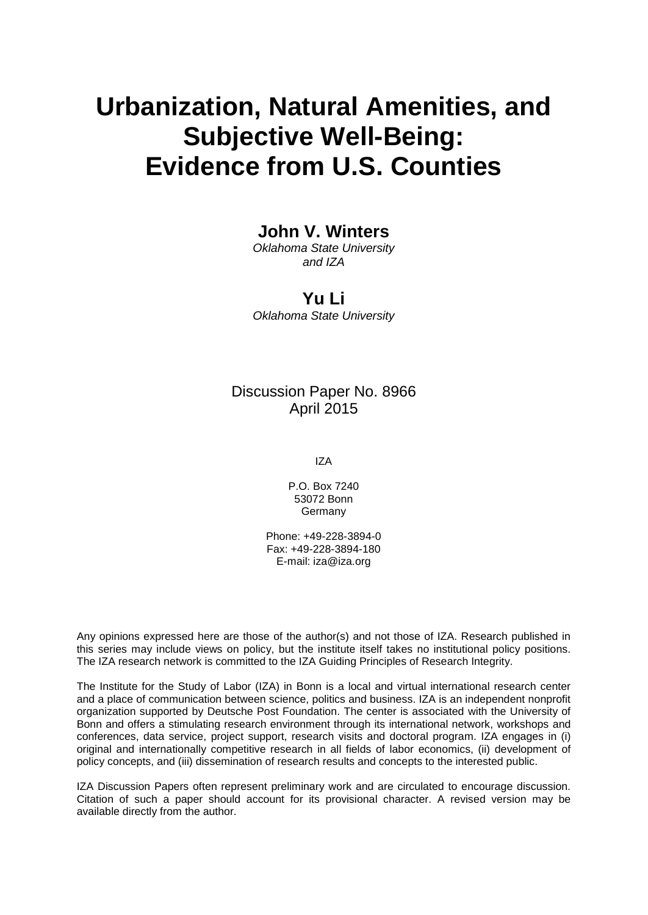# **Urbanization, Natural Amenities, and Subjective Well-Being: Evidence from U.S. Counties**

### **John V. Winters**

*Oklahoma State University and IZA*

**Yu Li** *Oklahoma State University*

### Discussion Paper No. 8966 April 2015

IZA

P.O. Box 7240 53072 Bonn Germany

Phone: +49-228-3894-0 Fax: +49-228-3894-180 E-mail: iza@iza.org

Any opinions expressed here are those of the author(s) and not those of IZA. Research published in this series may include views on policy, but the institute itself takes no institutional policy positions. The IZA research network is committed to the IZA Guiding Principles of Research Integrity.

The Institute for the Study of Labor (IZA) in Bonn is a local and virtual international research center and a place of communication between science, politics and business. IZA is an independent nonprofit organization supported by Deutsche Post Foundation. The center is associated with the University of Bonn and offers a stimulating research environment through its international network, workshops and conferences, data service, project support, research visits and doctoral program. IZA engages in (i) original and internationally competitive research in all fields of labor economics, (ii) development of policy concepts, and (iii) dissemination of research results and concepts to the interested public.

<span id="page-1-0"></span>IZA Discussion Papers often represent preliminary work and are circulated to encourage discussion. Citation of such a paper should account for its provisional character. A revised version may be available directly from the author.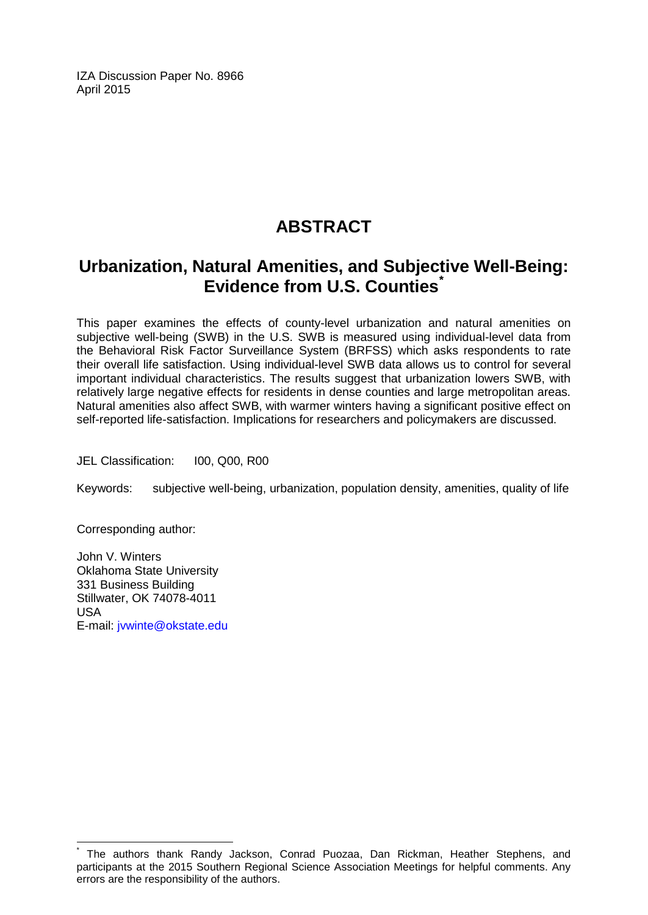IZA Discussion Paper No. 8966 April 2015

# **ABSTRACT**

## **Urbanization, Natural Amenities, and Subjective Well-Being: Evidence from U.S. Counties[\\*](#page-1-0)**

This paper examines the effects of county-level urbanization and natural amenities on subjective well-being (SWB) in the U.S. SWB is measured using individual-level data from the Behavioral Risk Factor Surveillance System (BRFSS) which asks respondents to rate their overall life satisfaction. Using individual-level SWB data allows us to control for several important individual characteristics. The results suggest that urbanization lowers SWB, with relatively large negative effects for residents in dense counties and large metropolitan areas. Natural amenities also affect SWB, with warmer winters having a significant positive effect on self-reported life-satisfaction. Implications for researchers and policymakers are discussed.

JEL Classification: I00, Q00, R00

Keywords: subjective well-being, urbanization, population density, amenities, quality of life

Corresponding author:

John V. Winters Oklahoma State University 331 Business Building Stillwater, OK 74078-4011 USA E-mail: [jvwinte@okstate.edu](mailto:jvwinte@okstate.edu)

The authors thank Randy Jackson, Conrad Puozaa, Dan Rickman, Heather Stephens. and participants at the 2015 Southern Regional Science Association Meetings for helpful comments. Any errors are the responsibility of the authors.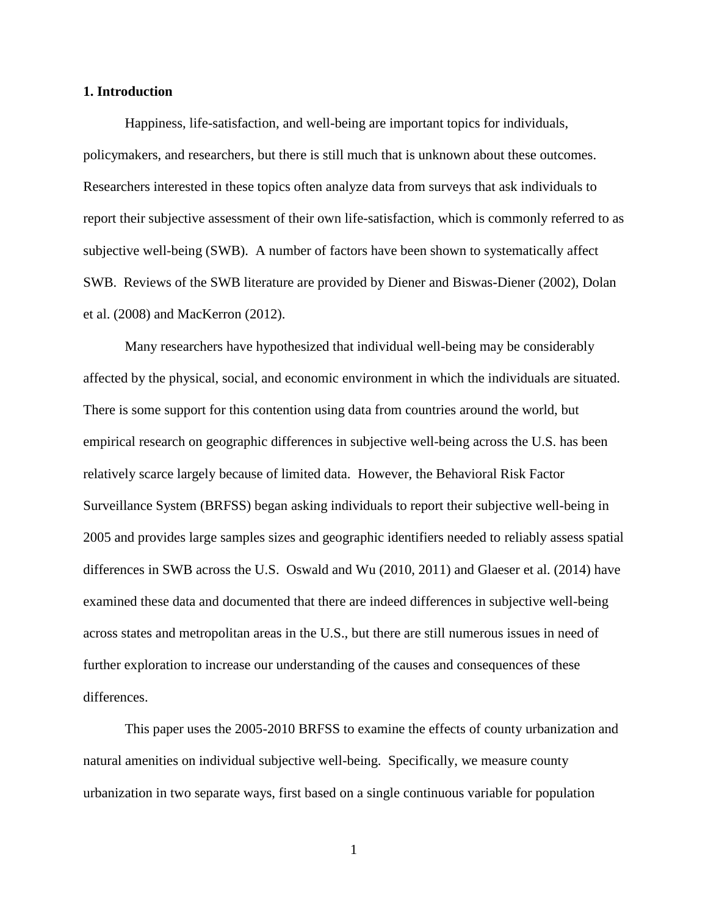#### **1. Introduction**

Happiness, life-satisfaction, and well-being are important topics for individuals, policymakers, and researchers, but there is still much that is unknown about these outcomes. Researchers interested in these topics often analyze data from surveys that ask individuals to report their subjective assessment of their own life-satisfaction, which is commonly referred to as subjective well-being (SWB). A number of factors have been shown to systematically affect SWB. Reviews of the SWB literature are provided by Diener and Biswas-Diener (2002), Dolan et al. (2008) and MacKerron (2012).

Many researchers have hypothesized that individual well-being may be considerably affected by the physical, social, and economic environment in which the individuals are situated. There is some support for this contention using data from countries around the world, but empirical research on geographic differences in subjective well-being across the U.S. has been relatively scarce largely because of limited data. However, the Behavioral Risk Factor Surveillance System (BRFSS) began asking individuals to report their subjective well-being in 2005 and provides large samples sizes and geographic identifiers needed to reliably assess spatial differences in SWB across the U.S. Oswald and Wu (2010, 2011) and Glaeser et al. (2014) have examined these data and documented that there are indeed differences in subjective well-being across states and metropolitan areas in the U.S., but there are still numerous issues in need of further exploration to increase our understanding of the causes and consequences of these differences.

This paper uses the 2005-2010 BRFSS to examine the effects of county urbanization and natural amenities on individual subjective well-being. Specifically, we measure county urbanization in two separate ways, first based on a single continuous variable for population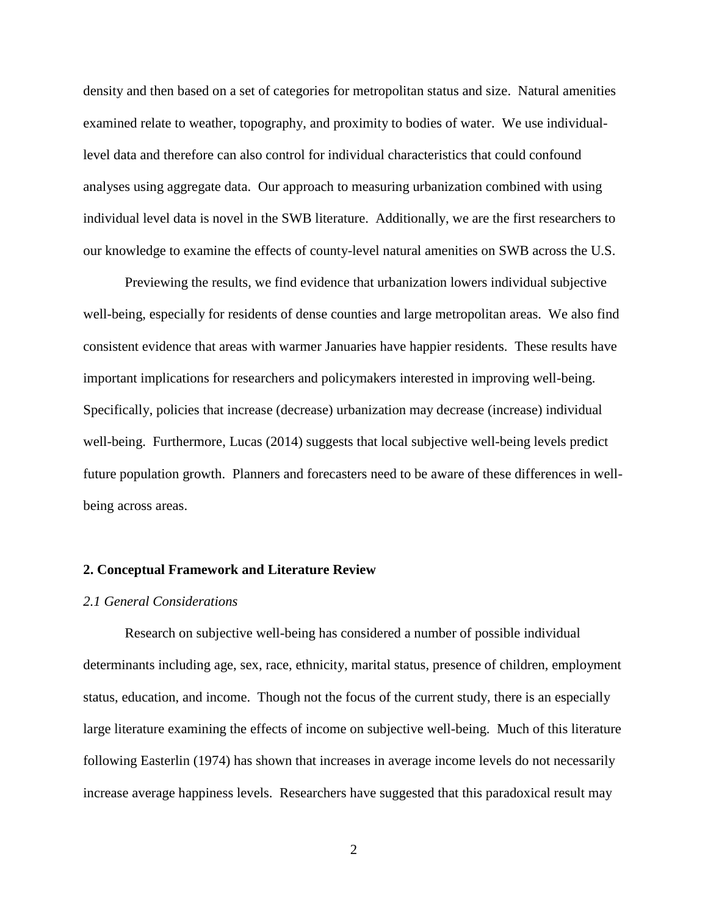density and then based on a set of categories for metropolitan status and size. Natural amenities examined relate to weather, topography, and proximity to bodies of water. We use individuallevel data and therefore can also control for individual characteristics that could confound analyses using aggregate data. Our approach to measuring urbanization combined with using individual level data is novel in the SWB literature. Additionally, we are the first researchers to our knowledge to examine the effects of county-level natural amenities on SWB across the U.S.

Previewing the results, we find evidence that urbanization lowers individual subjective well-being, especially for residents of dense counties and large metropolitan areas. We also find consistent evidence that areas with warmer Januaries have happier residents. These results have important implications for researchers and policymakers interested in improving well-being. Specifically, policies that increase (decrease) urbanization may decrease (increase) individual well-being. Furthermore, Lucas (2014) suggests that local subjective well-being levels predict future population growth. Planners and forecasters need to be aware of these differences in wellbeing across areas.

#### **2. Conceptual Framework and Literature Review**

#### *2.1 General Considerations*

Research on subjective well-being has considered a number of possible individual determinants including age, sex, race, ethnicity, marital status, presence of children, employment status, education, and income. Though not the focus of the current study, there is an especially large literature examining the effects of income on subjective well-being. Much of this literature following Easterlin (1974) has shown that increases in average income levels do not necessarily increase average happiness levels. Researchers have suggested that this paradoxical result may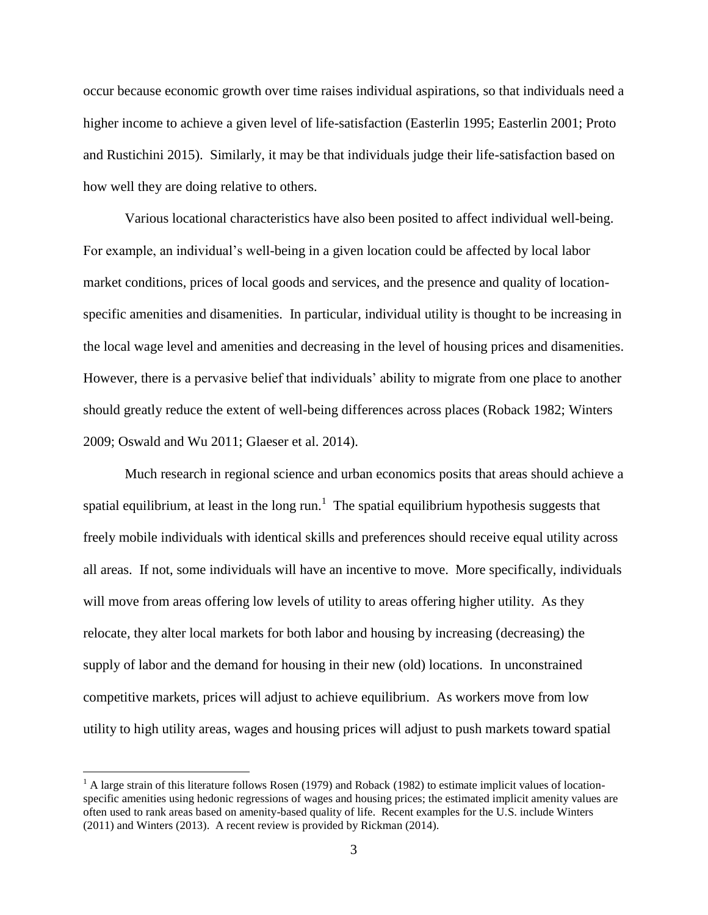occur because economic growth over time raises individual aspirations, so that individuals need a higher income to achieve a given level of life-satisfaction (Easterlin 1995; Easterlin 2001; Proto and Rustichini 2015). Similarly, it may be that individuals judge their life-satisfaction based on how well they are doing relative to others.

Various locational characteristics have also been posited to affect individual well-being. For example, an individual's well-being in a given location could be affected by local labor market conditions, prices of local goods and services, and the presence and quality of locationspecific amenities and disamenities. In particular, individual utility is thought to be increasing in the local wage level and amenities and decreasing in the level of housing prices and disamenities. However, there is a pervasive belief that individuals' ability to migrate from one place to another should greatly reduce the extent of well-being differences across places (Roback 1982; Winters 2009; Oswald and Wu 2011; Glaeser et al. 2014).

Much research in regional science and urban economics posits that areas should achieve a spatial equilibrium, at least in the long run.<sup>1</sup> The spatial equilibrium hypothesis suggests that freely mobile individuals with identical skills and preferences should receive equal utility across all areas. If not, some individuals will have an incentive to move. More specifically, individuals will move from areas offering low levels of utility to areas offering higher utility. As they relocate, they alter local markets for both labor and housing by increasing (decreasing) the supply of labor and the demand for housing in their new (old) locations. In unconstrained competitive markets, prices will adjust to achieve equilibrium. As workers move from low utility to high utility areas, wages and housing prices will adjust to push markets toward spatial

 $<sup>1</sup>$  A large strain of this literature follows Rosen (1979) and Roback (1982) to estimate implicit values of location-</sup> specific amenities using hedonic regressions of wages and housing prices; the estimated implicit amenity values are often used to rank areas based on amenity-based quality of life. Recent examples for the U.S. include Winters (2011) and Winters (2013). A recent review is provided by Rickman (2014).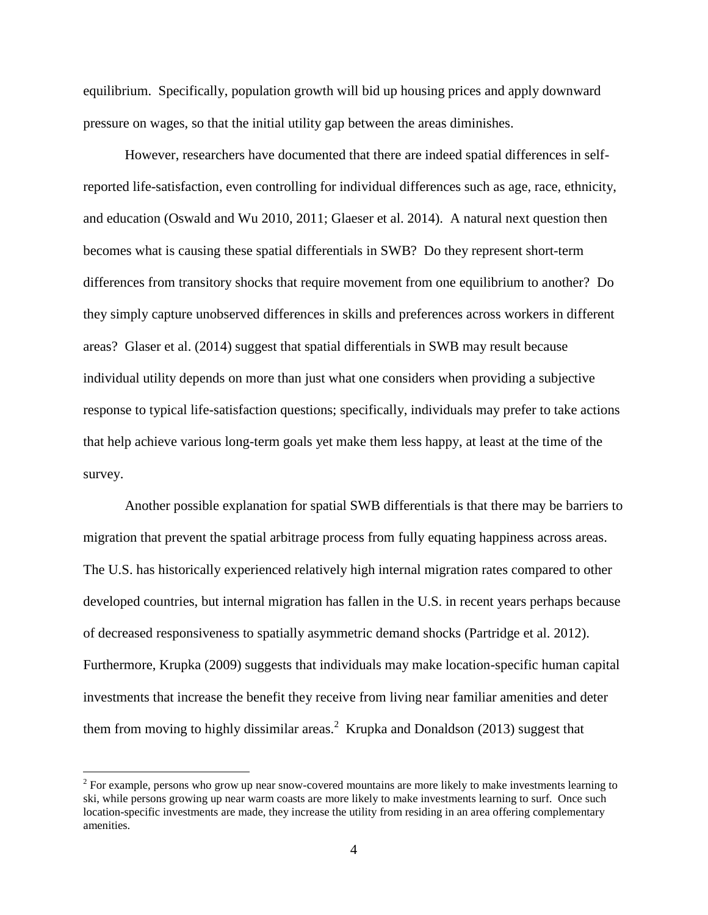equilibrium. Specifically, population growth will bid up housing prices and apply downward pressure on wages, so that the initial utility gap between the areas diminishes.

However, researchers have documented that there are indeed spatial differences in selfreported life-satisfaction, even controlling for individual differences such as age, race, ethnicity, and education (Oswald and Wu 2010, 2011; Glaeser et al. 2014). A natural next question then becomes what is causing these spatial differentials in SWB? Do they represent short-term differences from transitory shocks that require movement from one equilibrium to another? Do they simply capture unobserved differences in skills and preferences across workers in different areas? Glaser et al. (2014) suggest that spatial differentials in SWB may result because individual utility depends on more than just what one considers when providing a subjective response to typical life-satisfaction questions; specifically, individuals may prefer to take actions that help achieve various long-term goals yet make them less happy, at least at the time of the survey.

Another possible explanation for spatial SWB differentials is that there may be barriers to migration that prevent the spatial arbitrage process from fully equating happiness across areas. The U.S. has historically experienced relatively high internal migration rates compared to other developed countries, but internal migration has fallen in the U.S. in recent years perhaps because of decreased responsiveness to spatially asymmetric demand shocks (Partridge et al. 2012). Furthermore, Krupka (2009) suggests that individuals may make location-specific human capital investments that increase the benefit they receive from living near familiar amenities and deter them from moving to highly dissimilar areas. $2$  Krupka and Donaldson (2013) suggest that

 $2^2$  For example, persons who grow up near snow-covered mountains are more likely to make investments learning to ski, while persons growing up near warm coasts are more likely to make investments learning to surf. Once such location-specific investments are made, they increase the utility from residing in an area offering complementary amenities.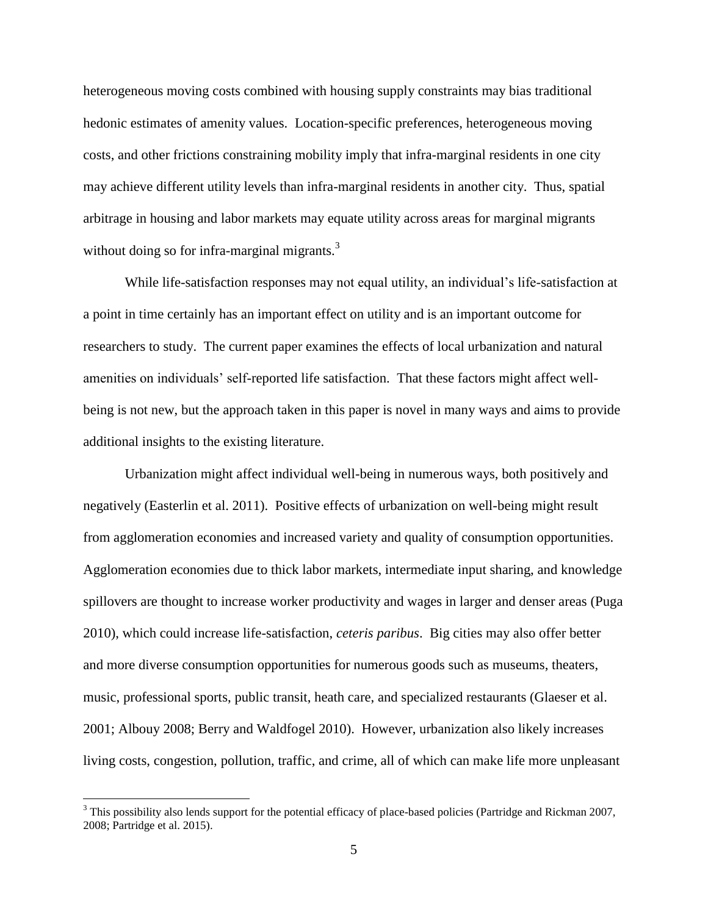heterogeneous moving costs combined with housing supply constraints may bias traditional hedonic estimates of amenity values. Location-specific preferences, heterogeneous moving costs, and other frictions constraining mobility imply that infra-marginal residents in one city may achieve different utility levels than infra-marginal residents in another city. Thus, spatial arbitrage in housing and labor markets may equate utility across areas for marginal migrants without doing so for infra-marginal migrants.<sup>3</sup>

While life-satisfaction responses may not equal utility, an individual's life-satisfaction at a point in time certainly has an important effect on utility and is an important outcome for researchers to study. The current paper examines the effects of local urbanization and natural amenities on individuals' self-reported life satisfaction. That these factors might affect wellbeing is not new, but the approach taken in this paper is novel in many ways and aims to provide additional insights to the existing literature.

Urbanization might affect individual well-being in numerous ways, both positively and negatively (Easterlin et al. 2011). Positive effects of urbanization on well-being might result from agglomeration economies and increased variety and quality of consumption opportunities. Agglomeration economies due to thick labor markets, intermediate input sharing, and knowledge spillovers are thought to increase worker productivity and wages in larger and denser areas (Puga 2010), which could increase life-satisfaction, *ceteris paribus*. Big cities may also offer better and more diverse consumption opportunities for numerous goods such as museums, theaters, music, professional sports, public transit, heath care, and specialized restaurants (Glaeser et al. 2001; Albouy 2008; Berry and Waldfogel 2010). However, urbanization also likely increases living costs, congestion, pollution, traffic, and crime, all of which can make life more unpleasant

<sup>&</sup>lt;sup>3</sup> This possibility also lends support for the potential efficacy of place-based policies (Partridge and Rickman 2007, 2008; Partridge et al. 2015).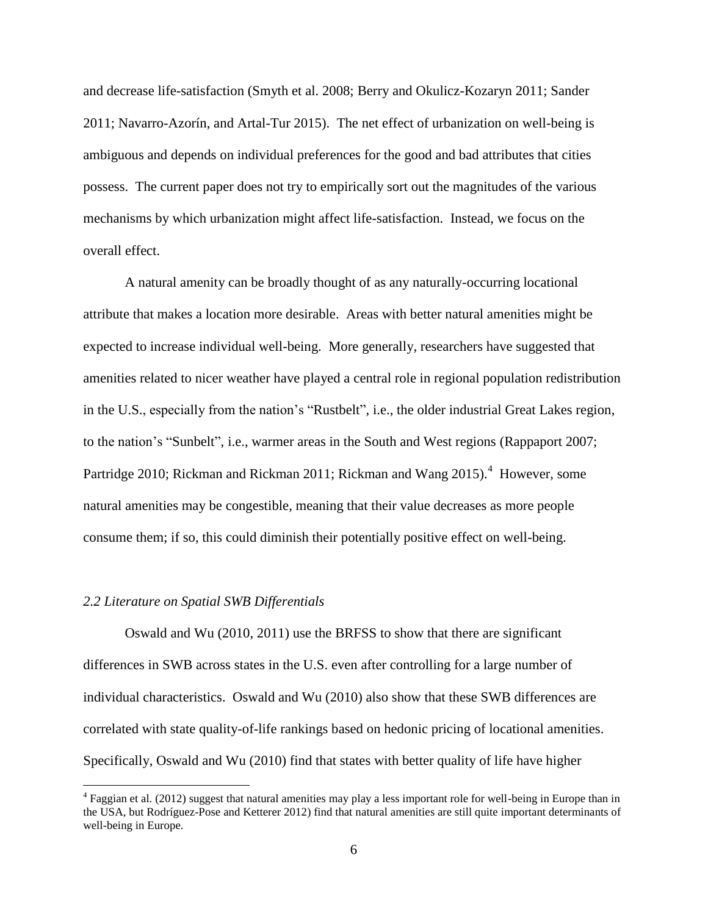and decrease life-satisfaction (Smyth et al. 2008; Berry and Okulicz-Kozaryn 2011; Sander 2011; Navarro-Azorín, and Artal-Tur 2015). The net effect of urbanization on well-being is ambiguous and depends on individual preferences for the good and bad attributes that cities possess. The current paper does not try to empirically sort out the magnitudes of the various mechanisms by which urbanization might affect life-satisfaction. Instead, we focus on the overall effect.

A natural amenity can be broadly thought of as any naturally-occurring locational attribute that makes a location more desirable. Areas with better natural amenities might be expected to increase individual well-being. More generally, researchers have suggested that amenities related to nicer weather have played a central role in regional population redistribution in the U.S., especially from the nation's "Rustbelt", i.e., the older industrial Great Lakes region, to the nation's "Sunbelt", i.e., warmer areas in the South and West regions (Rappaport 2007; Partridge 2010; Rickman and Rickman 2011; Rickman and Wang 2015).<sup>4</sup> However, some natural amenities may be congestible, meaning that their value decreases as more people consume them; if so, this could diminish their potentially positive effect on well-being.

#### *2.2 Literature on Spatial SWB Differentials*

 $\overline{a}$ 

Oswald and Wu (2010, 2011) use the BRFSS to show that there are significant differences in SWB across states in the U.S. even after controlling for a large number of individual characteristics. Oswald and Wu (2010) also show that these SWB differences are correlated with state quality-of-life rankings based on hedonic pricing of locational amenities. Specifically, Oswald and Wu (2010) find that states with better quality of life have higher

<sup>&</sup>lt;sup>4</sup> Faggian et al. (2012) suggest that natural amenities may play a less important role for well-being in Europe than in the USA, but Rodríguez-Pose and Ketterer 2012) find that natural amenities are still quite important determinants of well-being in Europe.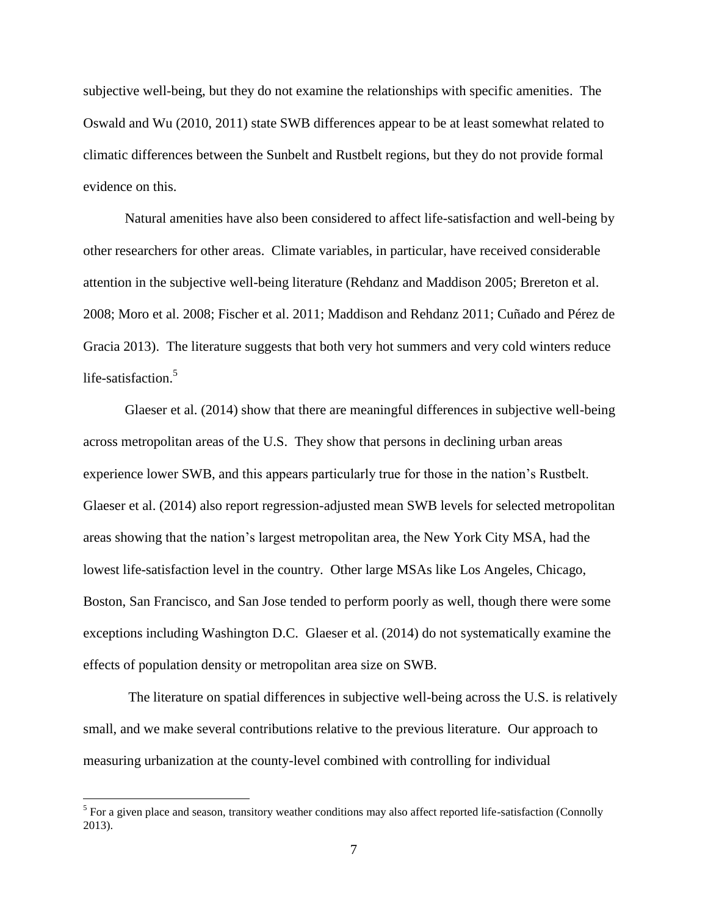subjective well-being, but they do not examine the relationships with specific amenities. The Oswald and Wu (2010, 2011) state SWB differences appear to be at least somewhat related to climatic differences between the Sunbelt and Rustbelt regions, but they do not provide formal evidence on this.

Natural amenities have also been considered to affect life-satisfaction and well-being by other researchers for other areas. Climate variables, in particular, have received considerable attention in the subjective well-being literature (Rehdanz and Maddison 2005; Brereton et al. 2008; Moro et al. 2008; Fischer et al. 2011; Maddison and Rehdanz 2011; Cuñado and Pérez de Gracia 2013). The literature suggests that both very hot summers and very cold winters reduce life-satisfaction.<sup>5</sup>

Glaeser et al. (2014) show that there are meaningful differences in subjective well-being across metropolitan areas of the U.S. They show that persons in declining urban areas experience lower SWB, and this appears particularly true for those in the nation's Rustbelt. Glaeser et al. (2014) also report regression-adjusted mean SWB levels for selected metropolitan areas showing that the nation's largest metropolitan area, the New York City MSA, had the lowest life-satisfaction level in the country. Other large MSAs like Los Angeles, Chicago, Boston, San Francisco, and San Jose tended to perform poorly as well, though there were some exceptions including Washington D.C. Glaeser et al. (2014) do not systematically examine the effects of population density or metropolitan area size on SWB.

The literature on spatial differences in subjective well-being across the U.S. is relatively small, and we make several contributions relative to the previous literature. Our approach to measuring urbanization at the county-level combined with controlling for individual

 $<sup>5</sup>$  For a given place and season, transitory weather conditions may also affect reported life-satisfaction (Connolly</sup> 2013).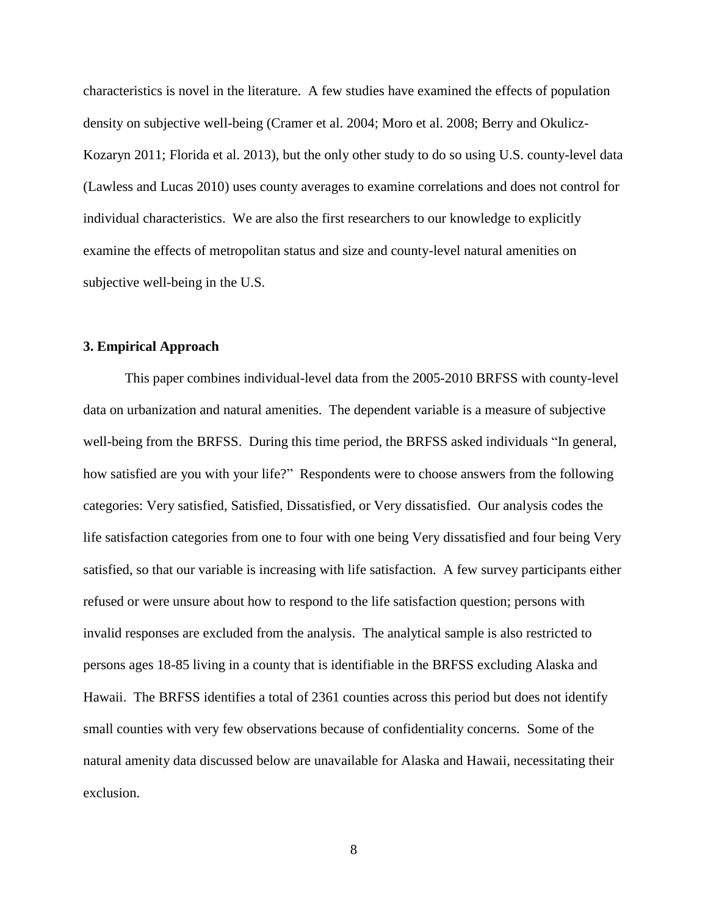characteristics is novel in the literature. A few studies have examined the effects of population density on subjective well-being (Cramer et al. 2004; Moro et al. 2008; Berry and Okulicz-Kozaryn 2011; Florida et al. 2013), but the only other study to do so using U.S. county-level data (Lawless and Lucas 2010) uses county averages to examine correlations and does not control for individual characteristics. We are also the first researchers to our knowledge to explicitly examine the effects of metropolitan status and size and county-level natural amenities on subjective well-being in the U.S.

#### **3. Empirical Approach**

This paper combines individual-level data from the 2005-2010 BRFSS with county-level data on urbanization and natural amenities. The dependent variable is a measure of subjective well-being from the BRFSS. During this time period, the BRFSS asked individuals "In general, how satisfied are you with your life?" Respondents were to choose answers from the following categories: Very satisfied, Satisfied, Dissatisfied, or Very dissatisfied. Our analysis codes the life satisfaction categories from one to four with one being Very dissatisfied and four being Very satisfied, so that our variable is increasing with life satisfaction. A few survey participants either refused or were unsure about how to respond to the life satisfaction question; persons with invalid responses are excluded from the analysis. The analytical sample is also restricted to persons ages 18-85 living in a county that is identifiable in the BRFSS excluding Alaska and Hawaii. The BRFSS identifies a total of 2361 counties across this period but does not identify small counties with very few observations because of confidentiality concerns. Some of the natural amenity data discussed below are unavailable for Alaska and Hawaii, necessitating their exclusion.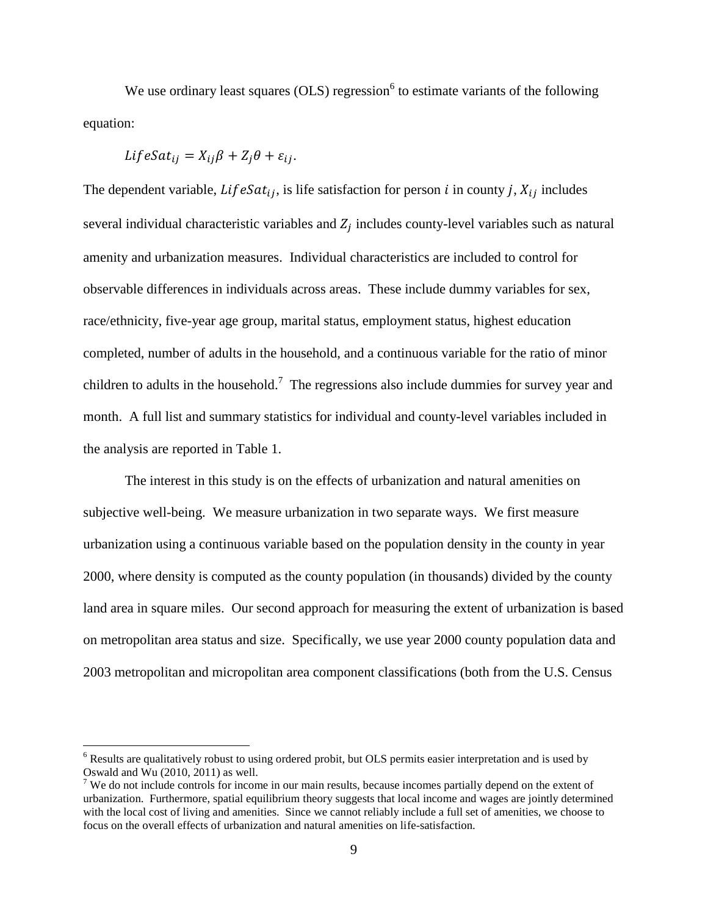We use ordinary least squares (OLS) regression<sup>6</sup> to estimate variants of the following equation:

$$
LifeSat_{ij} = X_{ij}\beta + Z_j\theta + \varepsilon_{ij}.
$$

 $\overline{a}$ 

The dependent variable,  $Lif e Sat_{ij}$ , is life satisfaction for person *i* in county *j*,  $X_{ij}$  includes several individual characteristic variables and  $Z_j$  includes county-level variables such as natural amenity and urbanization measures. Individual characteristics are included to control for observable differences in individuals across areas. These include dummy variables for sex, race/ethnicity, five-year age group, marital status, employment status, highest education completed, number of adults in the household, and a continuous variable for the ratio of minor children to adults in the household.<sup>7</sup> The regressions also include dummies for survey year and month. A full list and summary statistics for individual and county-level variables included in the analysis are reported in Table 1.

The interest in this study is on the effects of urbanization and natural amenities on subjective well-being. We measure urbanization in two separate ways. We first measure urbanization using a continuous variable based on the population density in the county in year 2000, where density is computed as the county population (in thousands) divided by the county land area in square miles. Our second approach for measuring the extent of urbanization is based on metropolitan area status and size. Specifically, we use year 2000 county population data and 2003 metropolitan and micropolitan area component classifications (both from the U.S. Census

<sup>&</sup>lt;sup>6</sup> Results are qualitatively robust to using ordered probit, but OLS permits easier interpretation and is used by Oswald and  $\overline{W}u$  (2010, 2011) as well.

<sup>&</sup>lt;sup>7</sup> We do not include controls for income in our main results, because incomes partially depend on the extent of urbanization. Furthermore, spatial equilibrium theory suggests that local income and wages are jointly determined with the local cost of living and amenities. Since we cannot reliably include a full set of amenities, we choose to focus on the overall effects of urbanization and natural amenities on life-satisfaction.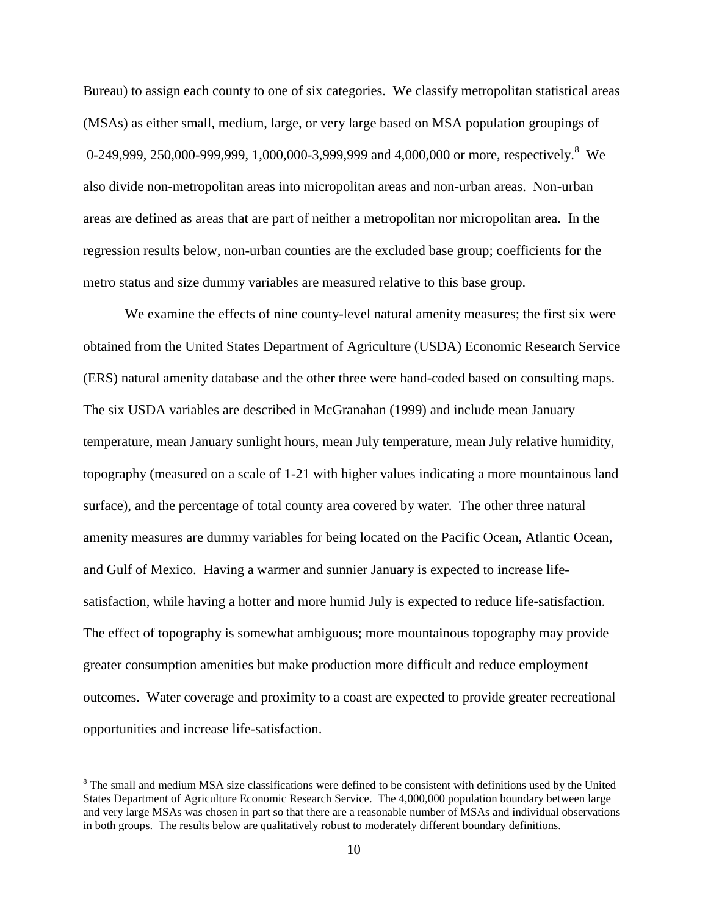Bureau) to assign each county to one of six categories. We classify metropolitan statistical areas (MSAs) as either small, medium, large, or very large based on MSA population groupings of 0-249,999, 250,000-999,999, 1,000,000-3,999,999 and 4,000,000 or more, respectively.<sup>8</sup> We also divide non-metropolitan areas into micropolitan areas and non-urban areas. Non-urban areas are defined as areas that are part of neither a metropolitan nor micropolitan area. In the regression results below, non-urban counties are the excluded base group; coefficients for the metro status and size dummy variables are measured relative to this base group.

We examine the effects of nine county-level natural amenity measures; the first six were obtained from the United States Department of Agriculture (USDA) Economic Research Service (ERS) natural amenity database and the other three were hand-coded based on consulting maps. The six USDA variables are described in McGranahan (1999) and include mean January temperature, mean January sunlight hours, mean July temperature, mean July relative humidity, topography (measured on a scale of 1-21 with higher values indicating a more mountainous land surface), and the percentage of total county area covered by water. The other three natural amenity measures are dummy variables for being located on the Pacific Ocean, Atlantic Ocean, and Gulf of Mexico. Having a warmer and sunnier January is expected to increase lifesatisfaction, while having a hotter and more humid July is expected to reduce life-satisfaction. The effect of topography is somewhat ambiguous; more mountainous topography may provide greater consumption amenities but make production more difficult and reduce employment outcomes. Water coverage and proximity to a coast are expected to provide greater recreational opportunities and increase life-satisfaction.

<sup>&</sup>lt;sup>8</sup> The small and medium MSA size classifications were defined to be consistent with definitions used by the United States Department of Agriculture Economic Research Service. The 4,000,000 population boundary between large and very large MSAs was chosen in part so that there are a reasonable number of MSAs and individual observations in both groups. The results below are qualitatively robust to moderately different boundary definitions.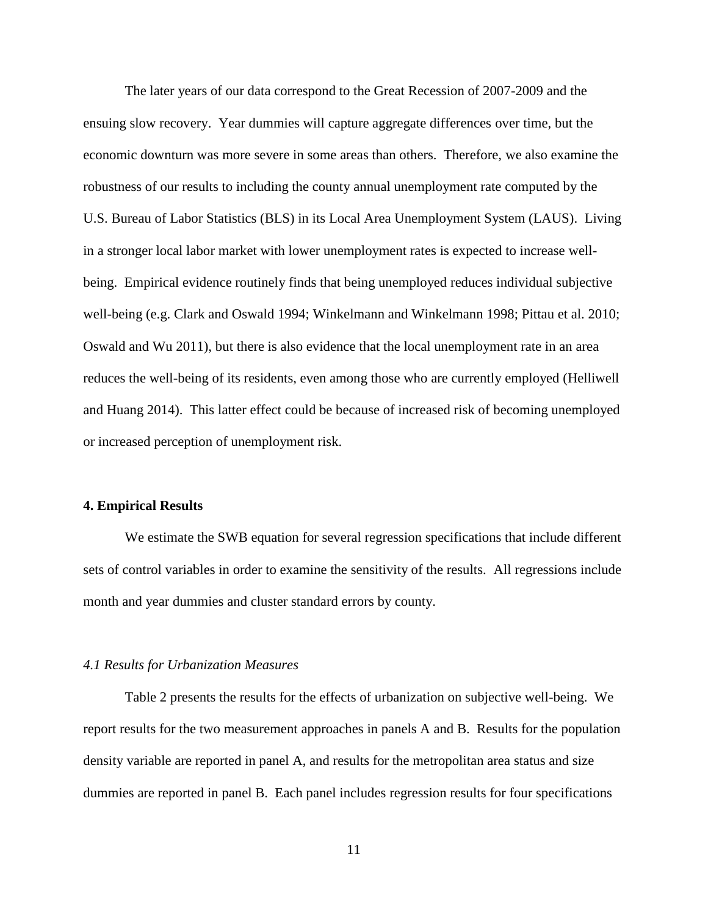The later years of our data correspond to the Great Recession of 2007-2009 and the ensuing slow recovery. Year dummies will capture aggregate differences over time, but the economic downturn was more severe in some areas than others. Therefore, we also examine the robustness of our results to including the county annual unemployment rate computed by the U.S. Bureau of Labor Statistics (BLS) in its Local Area Unemployment System (LAUS). Living in a stronger local labor market with lower unemployment rates is expected to increase wellbeing. Empirical evidence routinely finds that being unemployed reduces individual subjective well-being (e.g. Clark and Oswald 1994; Winkelmann and Winkelmann 1998; Pittau et al. 2010; Oswald and Wu 2011), but there is also evidence that the local unemployment rate in an area reduces the well-being of its residents, even among those who are currently employed (Helliwell and Huang 2014). This latter effect could be because of increased risk of becoming unemployed or increased perception of unemployment risk.

#### **4. Empirical Results**

We estimate the SWB equation for several regression specifications that include different sets of control variables in order to examine the sensitivity of the results. All regressions include month and year dummies and cluster standard errors by county.

#### *4.1 Results for Urbanization Measures*

Table 2 presents the results for the effects of urbanization on subjective well-being. We report results for the two measurement approaches in panels A and B. Results for the population density variable are reported in panel A, and results for the metropolitan area status and size dummies are reported in panel B. Each panel includes regression results for four specifications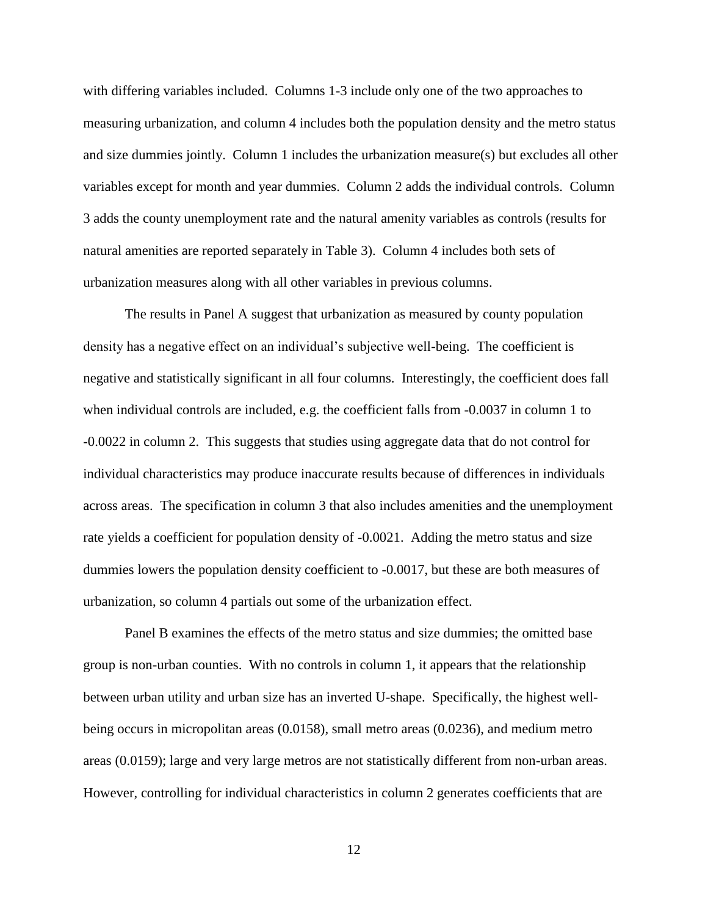with differing variables included. Columns 1-3 include only one of the two approaches to measuring urbanization, and column 4 includes both the population density and the metro status and size dummies jointly. Column 1 includes the urbanization measure(s) but excludes all other variables except for month and year dummies. Column 2 adds the individual controls. Column 3 adds the county unemployment rate and the natural amenity variables as controls (results for natural amenities are reported separately in Table 3). Column 4 includes both sets of urbanization measures along with all other variables in previous columns.

The results in Panel A suggest that urbanization as measured by county population density has a negative effect on an individual's subjective well-being. The coefficient is negative and statistically significant in all four columns. Interestingly, the coefficient does fall when individual controls are included, e.g. the coefficient falls from -0.0037 in column 1 to -0.0022 in column 2. This suggests that studies using aggregate data that do not control for individual characteristics may produce inaccurate results because of differences in individuals across areas. The specification in column 3 that also includes amenities and the unemployment rate yields a coefficient for population density of -0.0021. Adding the metro status and size dummies lowers the population density coefficient to -0.0017, but these are both measures of urbanization, so column 4 partials out some of the urbanization effect.

Panel B examines the effects of the metro status and size dummies; the omitted base group is non-urban counties. With no controls in column 1, it appears that the relationship between urban utility and urban size has an inverted U-shape. Specifically, the highest wellbeing occurs in micropolitan areas (0.0158), small metro areas (0.0236), and medium metro areas (0.0159); large and very large metros are not statistically different from non-urban areas. However, controlling for individual characteristics in column 2 generates coefficients that are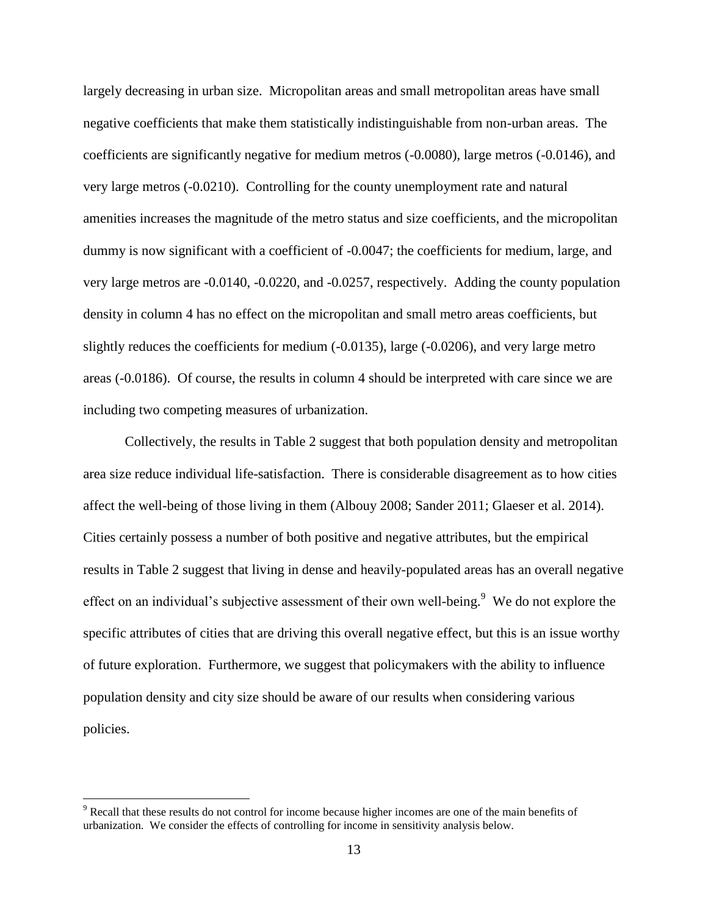largely decreasing in urban size. Micropolitan areas and small metropolitan areas have small negative coefficients that make them statistically indistinguishable from non-urban areas. The coefficients are significantly negative for medium metros (-0.0080), large metros (-0.0146), and very large metros (-0.0210). Controlling for the county unemployment rate and natural amenities increases the magnitude of the metro status and size coefficients, and the micropolitan dummy is now significant with a coefficient of  $-0.0047$ ; the coefficients for medium, large, and very large metros are -0.0140, -0.0220, and -0.0257, respectively. Adding the county population density in column 4 has no effect on the micropolitan and small metro areas coefficients, but slightly reduces the coefficients for medium (-0.0135), large (-0.0206), and very large metro areas (-0.0186). Of course, the results in column 4 should be interpreted with care since we are including two competing measures of urbanization.

Collectively, the results in Table 2 suggest that both population density and metropolitan area size reduce individual life-satisfaction. There is considerable disagreement as to how cities affect the well-being of those living in them (Albouy 2008; Sander 2011; Glaeser et al. 2014). Cities certainly possess a number of both positive and negative attributes, but the empirical results in Table 2 suggest that living in dense and heavily-populated areas has an overall negative effect on an individual's subjective assessment of their own well-being. $9$  We do not explore the specific attributes of cities that are driving this overall negative effect, but this is an issue worthy of future exploration. Furthermore, we suggest that policymakers with the ability to influence population density and city size should be aware of our results when considering various policies.

<sup>&</sup>lt;sup>9</sup> Recall that these results do not control for income because higher incomes are one of the main benefits of urbanization. We consider the effects of controlling for income in sensitivity analysis below.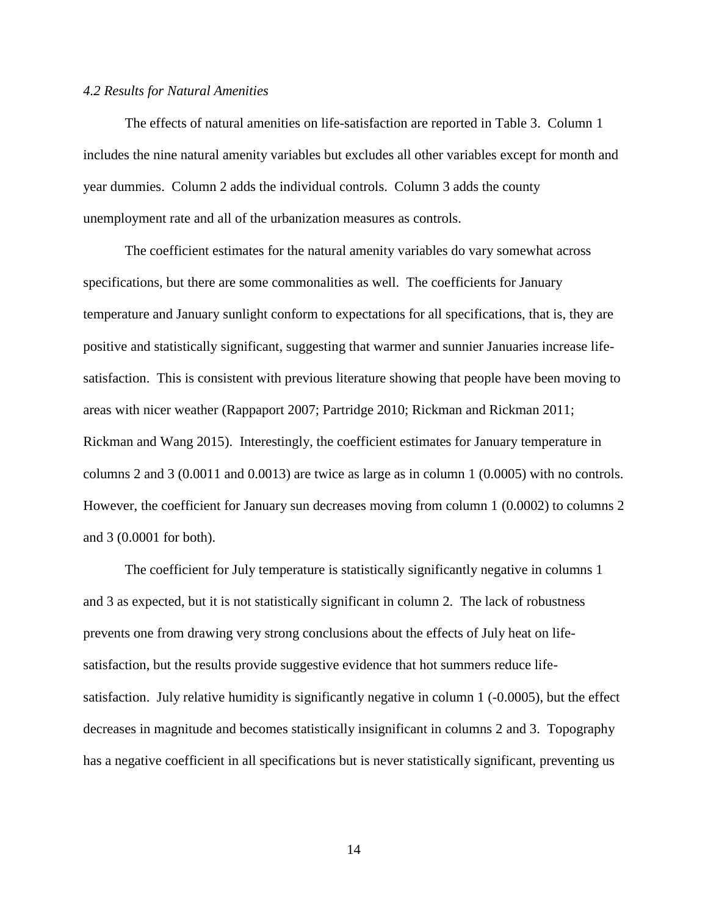#### *4.2 Results for Natural Amenities*

The effects of natural amenities on life-satisfaction are reported in Table 3. Column 1 includes the nine natural amenity variables but excludes all other variables except for month and year dummies. Column 2 adds the individual controls. Column 3 adds the county unemployment rate and all of the urbanization measures as controls.

The coefficient estimates for the natural amenity variables do vary somewhat across specifications, but there are some commonalities as well. The coefficients for January temperature and January sunlight conform to expectations for all specifications, that is, they are positive and statistically significant, suggesting that warmer and sunnier Januaries increase lifesatisfaction. This is consistent with previous literature showing that people have been moving to areas with nicer weather (Rappaport 2007; Partridge 2010; Rickman and Rickman 2011; Rickman and Wang 2015). Interestingly, the coefficient estimates for January temperature in columns 2 and 3 (0.0011 and 0.0013) are twice as large as in column 1 (0.0005) with no controls. However, the coefficient for January sun decreases moving from column 1 (0.0002) to columns 2 and 3 (0.0001 for both).

The coefficient for July temperature is statistically significantly negative in columns 1 and 3 as expected, but it is not statistically significant in column 2. The lack of robustness prevents one from drawing very strong conclusions about the effects of July heat on lifesatisfaction, but the results provide suggestive evidence that hot summers reduce lifesatisfaction. July relative humidity is significantly negative in column 1 (-0.0005), but the effect decreases in magnitude and becomes statistically insignificant in columns 2 and 3. Topography has a negative coefficient in all specifications but is never statistically significant, preventing us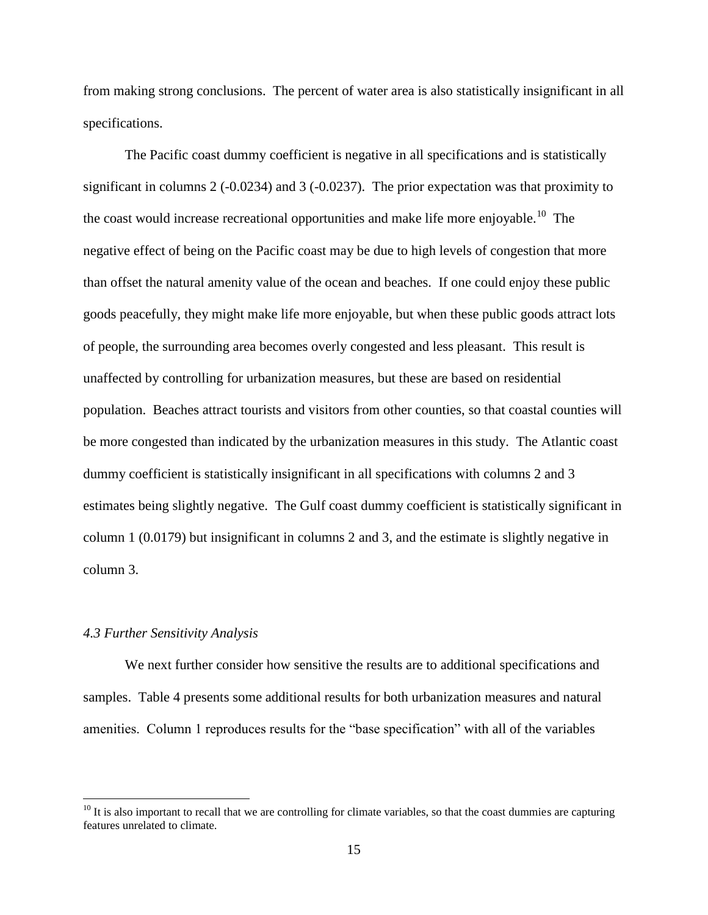from making strong conclusions. The percent of water area is also statistically insignificant in all specifications.

The Pacific coast dummy coefficient is negative in all specifications and is statistically significant in columns 2 (-0.0234) and 3 (-0.0237). The prior expectation was that proximity to the coast would increase recreational opportunities and make life more enjoyable.<sup>10</sup> The negative effect of being on the Pacific coast may be due to high levels of congestion that more than offset the natural amenity value of the ocean and beaches. If one could enjoy these public goods peacefully, they might make life more enjoyable, but when these public goods attract lots of people, the surrounding area becomes overly congested and less pleasant. This result is unaffected by controlling for urbanization measures, but these are based on residential population. Beaches attract tourists and visitors from other counties, so that coastal counties will be more congested than indicated by the urbanization measures in this study. The Atlantic coast dummy coefficient is statistically insignificant in all specifications with columns 2 and 3 estimates being slightly negative. The Gulf coast dummy coefficient is statistically significant in column 1 (0.0179) but insignificant in columns 2 and 3, and the estimate is slightly negative in column 3.

#### *4.3 Further Sensitivity Analysis*

 $\overline{a}$ 

We next further consider how sensitive the results are to additional specifications and samples. Table 4 presents some additional results for both urbanization measures and natural amenities. Column 1 reproduces results for the "base specification" with all of the variables

 $10$  It is also important to recall that we are controlling for climate variables, so that the coast dummies are capturing features unrelated to climate.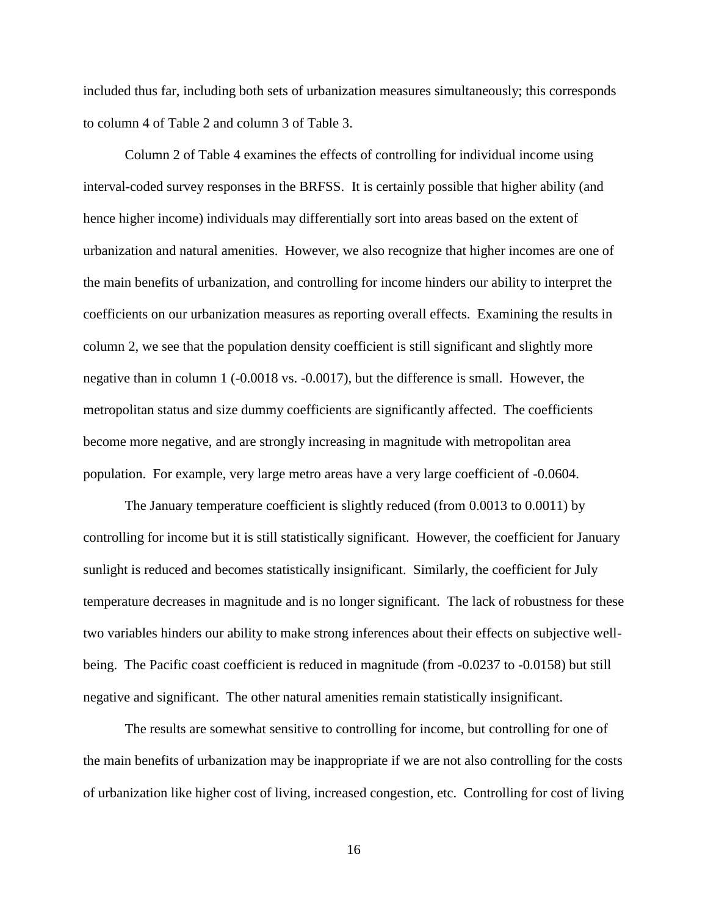included thus far, including both sets of urbanization measures simultaneously; this corresponds to column 4 of Table 2 and column 3 of Table 3.

Column 2 of Table 4 examines the effects of controlling for individual income using interval-coded survey responses in the BRFSS. It is certainly possible that higher ability (and hence higher income) individuals may differentially sort into areas based on the extent of urbanization and natural amenities. However, we also recognize that higher incomes are one of the main benefits of urbanization, and controlling for income hinders our ability to interpret the coefficients on our urbanization measures as reporting overall effects. Examining the results in column 2, we see that the population density coefficient is still significant and slightly more negative than in column 1 (-0.0018 vs. -0.0017), but the difference is small. However, the metropolitan status and size dummy coefficients are significantly affected. The coefficients become more negative, and are strongly increasing in magnitude with metropolitan area population. For example, very large metro areas have a very large coefficient of -0.0604.

The January temperature coefficient is slightly reduced (from 0.0013 to 0.0011) by controlling for income but it is still statistically significant. However, the coefficient for January sunlight is reduced and becomes statistically insignificant. Similarly, the coefficient for July temperature decreases in magnitude and is no longer significant. The lack of robustness for these two variables hinders our ability to make strong inferences about their effects on subjective wellbeing. The Pacific coast coefficient is reduced in magnitude (from -0.0237 to -0.0158) but still negative and significant. The other natural amenities remain statistically insignificant.

The results are somewhat sensitive to controlling for income, but controlling for one of the main benefits of urbanization may be inappropriate if we are not also controlling for the costs of urbanization like higher cost of living, increased congestion, etc. Controlling for cost of living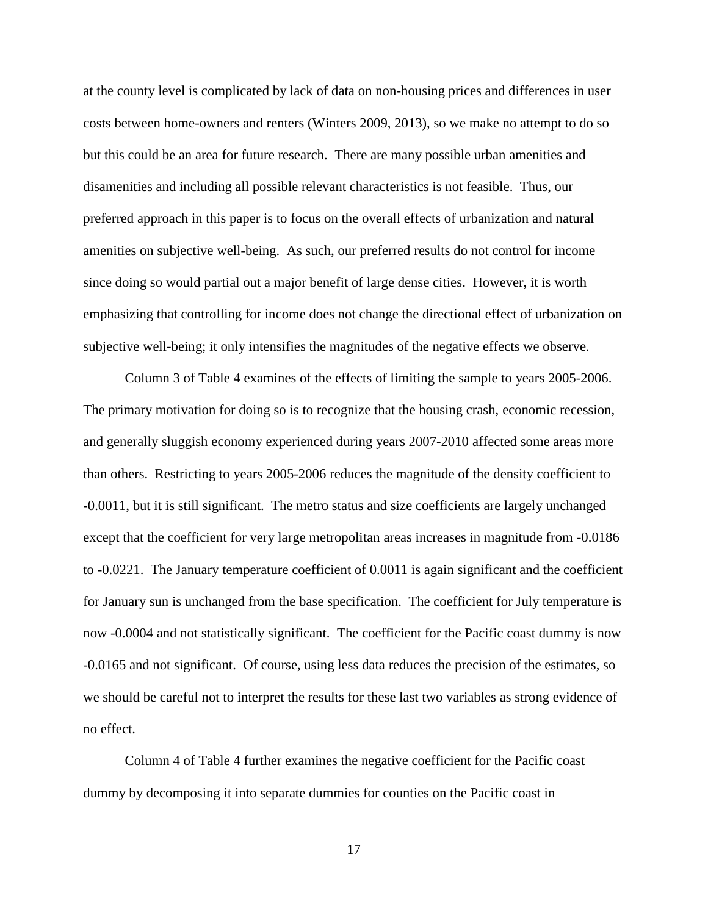at the county level is complicated by lack of data on non-housing prices and differences in user costs between home-owners and renters (Winters 2009, 2013), so we make no attempt to do so but this could be an area for future research. There are many possible urban amenities and disamenities and including all possible relevant characteristics is not feasible. Thus, our preferred approach in this paper is to focus on the overall effects of urbanization and natural amenities on subjective well-being. As such, our preferred results do not control for income since doing so would partial out a major benefit of large dense cities. However, it is worth emphasizing that controlling for income does not change the directional effect of urbanization on subjective well-being; it only intensifies the magnitudes of the negative effects we observe.

Column 3 of Table 4 examines of the effects of limiting the sample to years 2005-2006. The primary motivation for doing so is to recognize that the housing crash, economic recession, and generally sluggish economy experienced during years 2007-2010 affected some areas more than others. Restricting to years 2005-2006 reduces the magnitude of the density coefficient to -0.0011, but it is still significant. The metro status and size coefficients are largely unchanged except that the coefficient for very large metropolitan areas increases in magnitude from -0.0186 to -0.0221. The January temperature coefficient of 0.0011 is again significant and the coefficient for January sun is unchanged from the base specification. The coefficient for July temperature is now -0.0004 and not statistically significant. The coefficient for the Pacific coast dummy is now -0.0165 and not significant. Of course, using less data reduces the precision of the estimates, so we should be careful not to interpret the results for these last two variables as strong evidence of no effect.

Column 4 of Table 4 further examines the negative coefficient for the Pacific coast dummy by decomposing it into separate dummies for counties on the Pacific coast in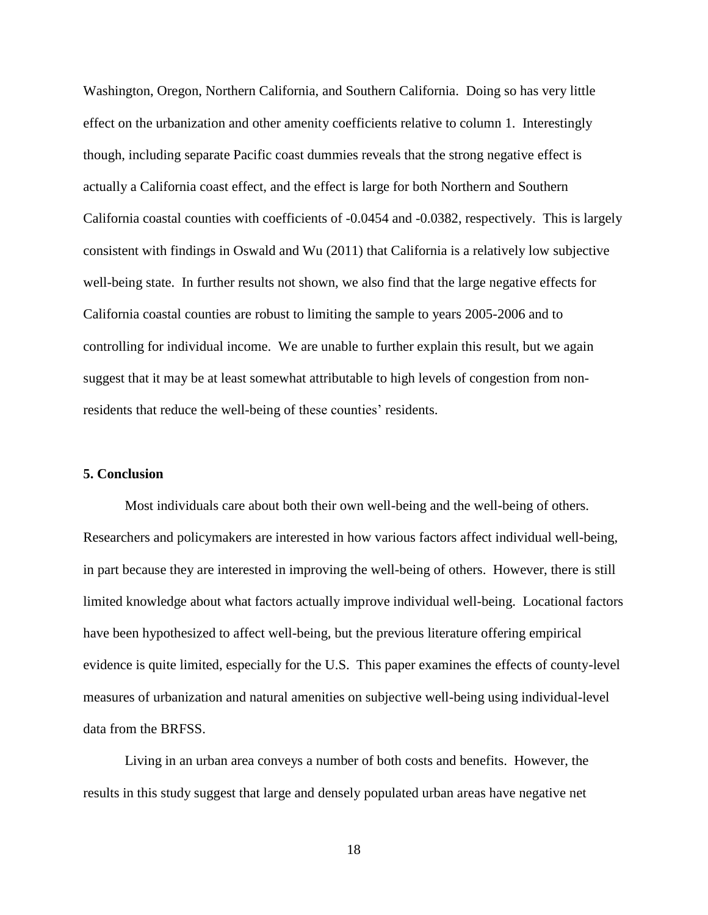Washington, Oregon, Northern California, and Southern California. Doing so has very little effect on the urbanization and other amenity coefficients relative to column 1. Interestingly though, including separate Pacific coast dummies reveals that the strong negative effect is actually a California coast effect, and the effect is large for both Northern and Southern California coastal counties with coefficients of -0.0454 and -0.0382, respectively. This is largely consistent with findings in Oswald and Wu (2011) that California is a relatively low subjective well-being state. In further results not shown, we also find that the large negative effects for California coastal counties are robust to limiting the sample to years 2005-2006 and to controlling for individual income. We are unable to further explain this result, but we again suggest that it may be at least somewhat attributable to high levels of congestion from nonresidents that reduce the well-being of these counties' residents.

#### **5. Conclusion**

Most individuals care about both their own well-being and the well-being of others. Researchers and policymakers are interested in how various factors affect individual well-being, in part because they are interested in improving the well-being of others. However, there is still limited knowledge about what factors actually improve individual well-being. Locational factors have been hypothesized to affect well-being, but the previous literature offering empirical evidence is quite limited, especially for the U.S. This paper examines the effects of county-level measures of urbanization and natural amenities on subjective well-being using individual-level data from the BRFSS.

Living in an urban area conveys a number of both costs and benefits. However, the results in this study suggest that large and densely populated urban areas have negative net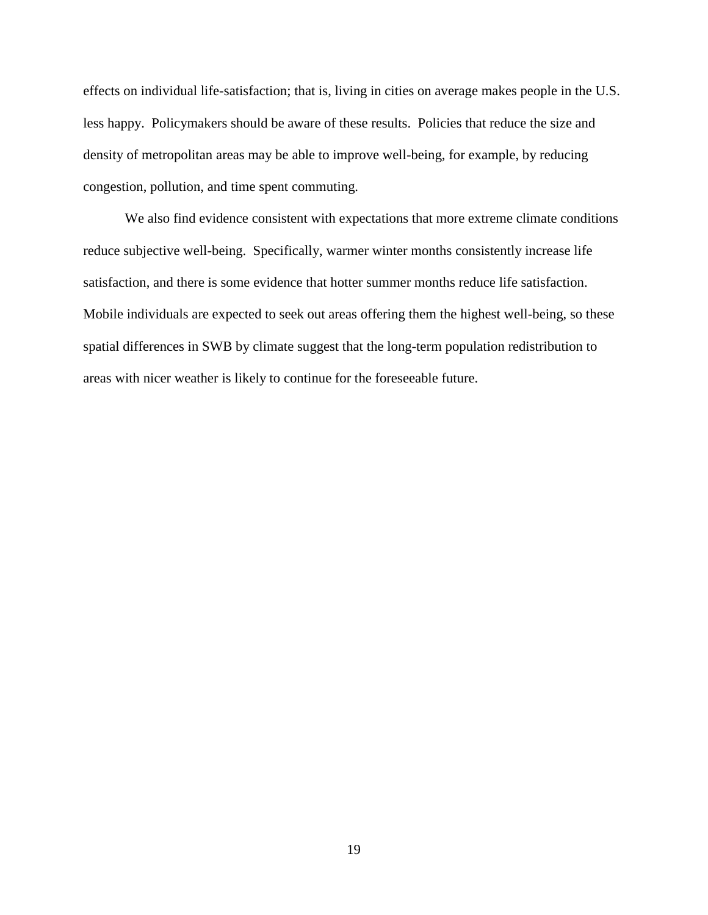effects on individual life-satisfaction; that is, living in cities on average makes people in the U.S. less happy. Policymakers should be aware of these results. Policies that reduce the size and density of metropolitan areas may be able to improve well-being, for example, by reducing congestion, pollution, and time spent commuting.

We also find evidence consistent with expectations that more extreme climate conditions reduce subjective well-being. Specifically, warmer winter months consistently increase life satisfaction, and there is some evidence that hotter summer months reduce life satisfaction. Mobile individuals are expected to seek out areas offering them the highest well-being, so these spatial differences in SWB by climate suggest that the long-term population redistribution to areas with nicer weather is likely to continue for the foreseeable future.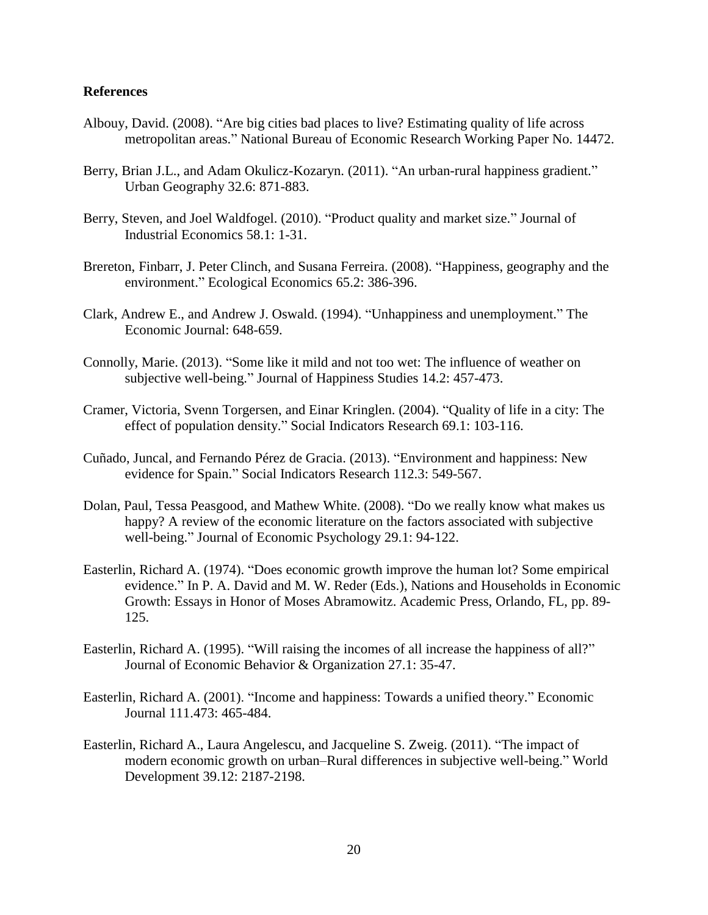#### **References**

- Albouy, David. (2008). "Are big cities bad places to live? Estimating quality of life across metropolitan areas." National Bureau of Economic Research Working Paper No. 14472.
- Berry, Brian J.L., and Adam Okulicz-Kozaryn. (2011). "An urban-rural happiness gradient." Urban Geography 32.6: 871-883.
- Berry, Steven, and Joel Waldfogel. (2010). "Product quality and market size." Journal of Industrial Economics 58.1: 1-31.
- Brereton, Finbarr, J. Peter Clinch, and Susana Ferreira. (2008). "Happiness, geography and the environment." Ecological Economics 65.2: 386-396.
- Clark, Andrew E., and Andrew J. Oswald. (1994). "Unhappiness and unemployment." The Economic Journal: 648-659.
- Connolly, Marie. (2013). "Some like it mild and not too wet: The influence of weather on subjective well-being." Journal of Happiness Studies 14.2: 457-473.
- Cramer, Victoria, Svenn Torgersen, and Einar Kringlen. (2004). "Quality of life in a city: The effect of population density." Social Indicators Research 69.1: 103-116.
- Cuñado, Juncal, and Fernando Pérez de Gracia. (2013). "Environment and happiness: New evidence for Spain." Social Indicators Research 112.3: 549-567.
- Dolan, Paul, Tessa Peasgood, and Mathew White. (2008). "Do we really know what makes us happy? A review of the economic literature on the factors associated with subjective well-being." Journal of Economic Psychology 29.1: 94-122.
- Easterlin, Richard A. (1974). "Does economic growth improve the human lot? Some empirical evidence." In P. A. David and M. W. Reder (Eds.), Nations and Households in Economic Growth: Essays in Honor of Moses Abramowitz. Academic Press, Orlando, FL, pp. 89- 125.
- Easterlin, Richard A. (1995). "Will raising the incomes of all increase the happiness of all?" Journal of Economic Behavior & Organization 27.1: 35-47.
- Easterlin, Richard A. (2001). "Income and happiness: Towards a unified theory." Economic Journal 111.473: 465-484.
- Easterlin, Richard A., Laura Angelescu, and Jacqueline S. Zweig. (2011). "The impact of modern economic growth on urban–Rural differences in subjective well-being." World Development 39.12: 2187-2198.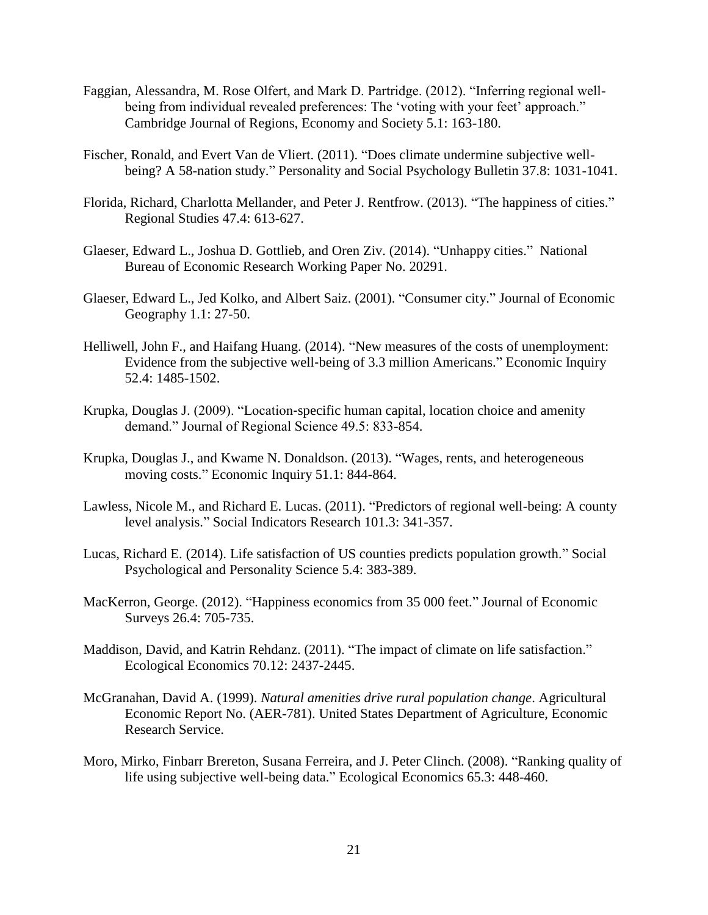- Faggian, Alessandra, M. Rose Olfert, and Mark D. Partridge. (2012). "Inferring regional wellbeing from individual revealed preferences: The 'voting with your feet' approach." Cambridge Journal of Regions, Economy and Society 5.1: 163-180.
- Fischer, Ronald, and Evert Van de Vliert. (2011). "Does climate undermine subjective wellbeing? A 58-nation study." Personality and Social Psychology Bulletin 37.8: 1031-1041.
- Florida, Richard, Charlotta Mellander, and Peter J. Rentfrow. (2013). "The happiness of cities." Regional Studies 47.4: 613-627.
- Glaeser, Edward L., Joshua D. Gottlieb, and Oren Ziv. (2014). "Unhappy cities." National Bureau of Economic Research Working Paper No. 20291.
- Glaeser, Edward L., Jed Kolko, and Albert Saiz. (2001). "Consumer city." Journal of Economic Geography 1.1: 27-50.
- Helliwell, John F., and Haifang Huang. (2014). "New measures of the costs of unemployment: Evidence from the subjective well‐being of 3.3 million Americans." Economic Inquiry 52.4: 1485-1502.
- Krupka, Douglas J. (2009). "Location‐specific human capital, location choice and amenity demand." Journal of Regional Science 49.5: 833-854.
- Krupka, Douglas J., and Kwame N. Donaldson. (2013). "Wages, rents, and heterogeneous moving costs." Economic Inquiry 51.1: 844-864.
- Lawless, Nicole M., and Richard E. Lucas. (2011). "Predictors of regional well-being: A county level analysis." Social Indicators Research 101.3: 341-357.
- Lucas, Richard E. (2014). Life satisfaction of US counties predicts population growth." Social Psychological and Personality Science 5.4: 383-389.
- MacKerron, George. (2012). "Happiness economics from 35 000 feet." Journal of Economic Surveys 26.4: 705-735.
- Maddison, David, and Katrin Rehdanz. (2011). "The impact of climate on life satisfaction." Ecological Economics 70.12: 2437-2445.
- McGranahan, David A. (1999). *Natural amenities drive rural population change*. Agricultural Economic Report No. (AER-781). United States Department of Agriculture, Economic Research Service.
- Moro, Mirko, Finbarr Brereton, Susana Ferreira, and J. Peter Clinch. (2008). "Ranking quality of life using subjective well-being data." Ecological Economics 65.3: 448-460.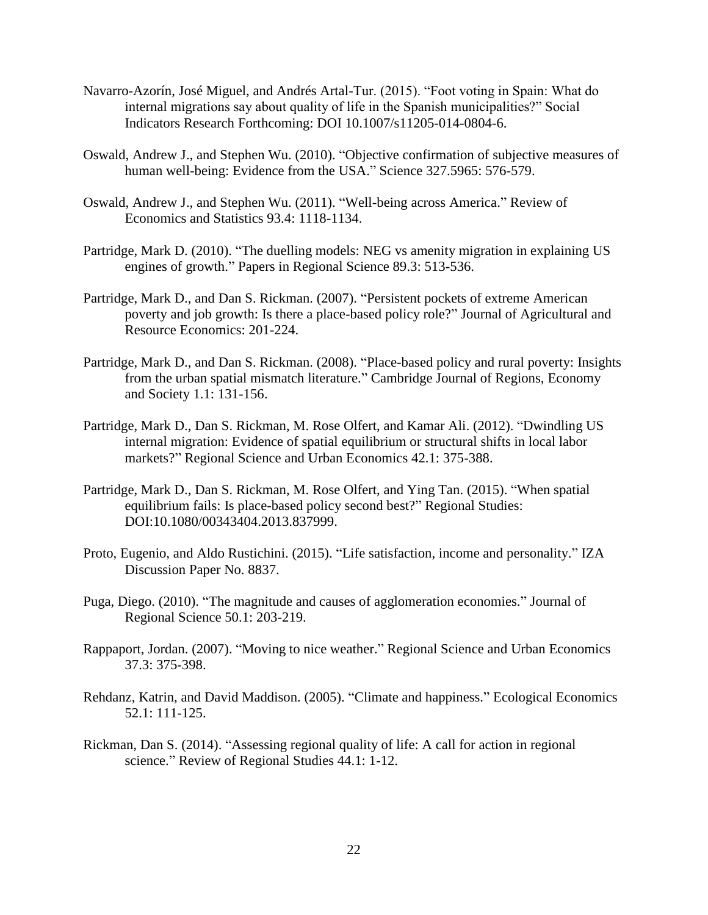- Navarro-Azorín, José Miguel, and Andrés Artal-Tur. (2015). "Foot voting in Spain: What do internal migrations say about quality of life in the Spanish municipalities?" Social Indicators Research Forthcoming: DOI 10.1007/s11205-014-0804-6.
- Oswald, Andrew J., and Stephen Wu. (2010). "Objective confirmation of subjective measures of human well-being: Evidence from the USA." Science 327.5965: 576-579.
- Oswald, Andrew J., and Stephen Wu. (2011). "Well-being across America." Review of Economics and Statistics 93.4: 1118-1134.
- Partridge, Mark D. (2010). "The duelling models: NEG vs amenity migration in explaining US engines of growth." Papers in Regional Science 89.3: 513-536.
- Partridge, Mark D., and Dan S. Rickman. (2007). "Persistent pockets of extreme American poverty and job growth: Is there a place-based policy role?" Journal of Agricultural and Resource Economics: 201-224.
- Partridge, Mark D., and Dan S. Rickman. (2008). "Place-based policy and rural poverty: Insights from the urban spatial mismatch literature." Cambridge Journal of Regions, Economy and Society 1.1: 131-156.
- Partridge, Mark D., Dan S. Rickman, M. Rose Olfert, and Kamar Ali. (2012). "Dwindling US internal migration: Evidence of spatial equilibrium or structural shifts in local labor markets?" Regional Science and Urban Economics 42.1: 375-388.
- Partridge, Mark D., Dan S. Rickman, M. Rose Olfert, and Ying Tan. (2015). "When spatial equilibrium fails: Is place-based policy second best?" Regional Studies: DOI:10.1080/00343404.2013.837999.
- Proto, Eugenio, and Aldo Rustichini. (2015). "Life satisfaction, income and personality." IZA Discussion Paper No. 8837.
- Puga, Diego. (2010). "The magnitude and causes of agglomeration economies." Journal of Regional Science 50.1: 203-219.
- Rappaport, Jordan. (2007). "Moving to nice weather." Regional Science and Urban Economics 37.3: 375-398.
- Rehdanz, Katrin, and David Maddison. (2005). "Climate and happiness." Ecological Economics 52.1: 111-125.
- Rickman, Dan S. (2014). "Assessing regional quality of life: A call for action in regional science." Review of Regional Studies 44.1: 1-12.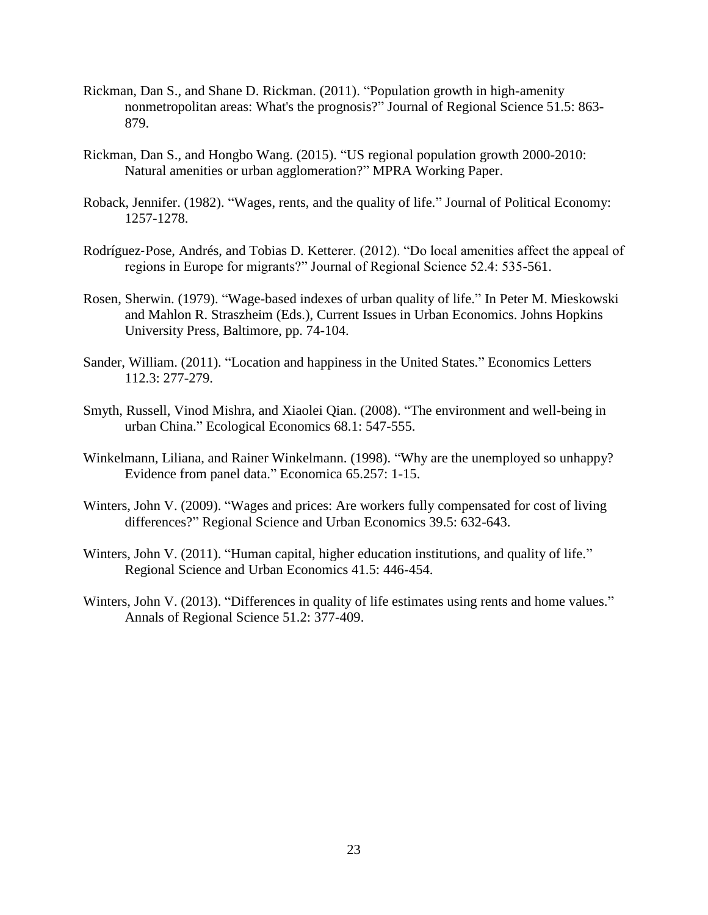- Rickman, Dan S., and Shane D. Rickman. (2011). "Population growth in high-amenity nonmetropolitan areas: What's the prognosis?" Journal of Regional Science 51.5: 863- 879.
- Rickman, Dan S., and Hongbo Wang. (2015). "US regional population growth 2000-2010: Natural amenities or urban agglomeration?" MPRA Working Paper.
- Roback, Jennifer. (1982). "Wages, rents, and the quality of life." Journal of Political Economy: 1257-1278.
- Rodríguez‐Pose, Andrés, and Tobias D. Ketterer. (2012). "Do local amenities affect the appeal of regions in Europe for migrants?" Journal of Regional Science 52.4: 535-561.
- Rosen, Sherwin. (1979). "Wage-based indexes of urban quality of life." In Peter M. Mieskowski and Mahlon R. Straszheim (Eds.), Current Issues in Urban Economics. Johns Hopkins University Press, Baltimore, pp. 74-104.
- Sander, William. (2011). "Location and happiness in the United States." Economics Letters 112.3: 277-279.
- Smyth, Russell, Vinod Mishra, and Xiaolei Qian. (2008). "The environment and well-being in urban China." Ecological Economics 68.1: 547-555.
- Winkelmann, Liliana, and Rainer Winkelmann. (1998). "Why are the unemployed so unhappy? Evidence from panel data." Economica 65.257: 1-15.
- Winters, John V. (2009). "Wages and prices: Are workers fully compensated for cost of living differences?" Regional Science and Urban Economics 39.5: 632-643.
- Winters, John V. (2011). "Human capital, higher education institutions, and quality of life." Regional Science and Urban Economics 41.5: 446-454.
- Winters, John V. (2013). "Differences in quality of life estimates using rents and home values." Annals of Regional Science 51.2: 377-409.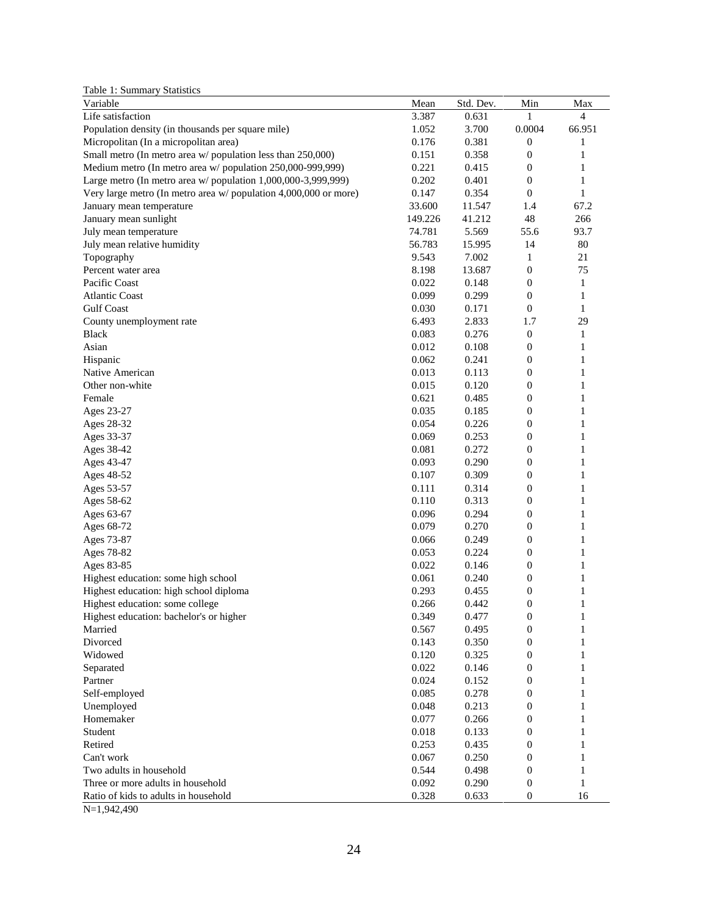Table 1: Summary Statistics

| Variable                                                         | Mean    | Std. Dev. | Min              | Max          |
|------------------------------------------------------------------|---------|-----------|------------------|--------------|
| Life satisfaction                                                | 3.387   | 0.631     |                  | 4            |
| Population density (in thousands per square mile)                | 1.052   | 3.700     | 0.0004           | 66.951       |
| Micropolitan (In a micropolitan area)                            | 0.176   | 0.381     | $\boldsymbol{0}$ | 1            |
| Small metro (In metro area w/population less than 250,000)       | 0.151   | 0.358     | $\boldsymbol{0}$ | 1            |
| Medium metro (In metro area w/ population 250,000-999,999)       | 0.221   | 0.415     | $\boldsymbol{0}$ | 1            |
| Large metro (In metro area w/ population 1,000,000-3,999,999)    | 0.202   | 0.401     | $\boldsymbol{0}$ | 1            |
| Very large metro (In metro area w/ population 4,000,000 or more) | 0.147   | 0.354     | $\mathbf{0}$     | 1            |
| January mean temperature                                         | 33.600  | 11.547    | 1.4              | 67.2         |
| January mean sunlight                                            | 149.226 | 41.212    | 48               | 266          |
| July mean temperature                                            | 74.781  | 5.569     | 55.6             | 93.7         |
| July mean relative humidity                                      | 56.783  | 15.995    | 14               | 80           |
| Topography                                                       | 9.543   | 7.002     | 1                | 21           |
| Percent water area                                               | 8.198   | 13.687    | $\boldsymbol{0}$ | 75           |
| Pacific Coast                                                    | 0.022   | 0.148     | $\boldsymbol{0}$ | 1            |
| <b>Atlantic Coast</b>                                            | 0.099   | 0.299     | $\boldsymbol{0}$ | $\mathbf{1}$ |
| <b>Gulf Coast</b>                                                | 0.030   | 0.171     | $\boldsymbol{0}$ | $\mathbf{1}$ |
| County unemployment rate                                         | 6.493   | 2.833     | 1.7              | 29           |
| <b>Black</b>                                                     | 0.083   | 0.276     | $\boldsymbol{0}$ | $\mathbf{1}$ |
| Asian                                                            | 0.012   | 0.108     | $\boldsymbol{0}$ | 1            |
| Hispanic                                                         | 0.062   | 0.241     | $\boldsymbol{0}$ | 1            |
| Native American                                                  | 0.013   | 0.113     | $\boldsymbol{0}$ | 1            |
| Other non-white                                                  | 0.015   | 0.120     | $\boldsymbol{0}$ | 1            |
| Female                                                           | 0.621   | 0.485     | $\boldsymbol{0}$ | 1            |
| Ages 23-27                                                       | 0.035   | 0.185     | $\boldsymbol{0}$ | 1            |
| Ages 28-32                                                       | 0.054   | 0.226     | $\boldsymbol{0}$ | 1            |
| Ages 33-37                                                       | 0.069   | 0.253     | $\boldsymbol{0}$ | 1            |
| Ages 38-42                                                       | 0.081   | 0.272     | $\boldsymbol{0}$ | 1            |
| Ages 43-47                                                       | 0.093   | 0.290     | $\boldsymbol{0}$ | 1            |
| Ages 48-52                                                       | 0.107   | 0.309     | $\boldsymbol{0}$ | $\mathbf{1}$ |
| Ages 53-57                                                       | 0.111   | 0.314     | $\boldsymbol{0}$ | 1            |
| Ages 58-62                                                       | 0.110   | 0.313     | $\boldsymbol{0}$ | 1            |
| Ages 63-67                                                       | 0.096   | 0.294     | $\boldsymbol{0}$ | 1            |
| Ages 68-72                                                       | 0.079   | 0.270     | $\boldsymbol{0}$ | 1            |
| Ages 73-87                                                       | 0.066   | 0.249     | $\boldsymbol{0}$ | 1            |
| Ages 78-82                                                       | 0.053   | 0.224     | $\boldsymbol{0}$ | $\mathbf{1}$ |
| Ages 83-85                                                       | 0.022   | 0.146     | $\boldsymbol{0}$ | $\mathbf{1}$ |
| Highest education: some high school                              | 0.061   | 0.240     | $\boldsymbol{0}$ | 1            |
| Highest education: high school diploma                           | 0.293   | 0.455     | $\boldsymbol{0}$ | 1            |
| Highest education: some college                                  | 0.266   | 0.442     | $\boldsymbol{0}$ | 1            |
| Highest education: bachelor's or higher                          | 0.349   | 0.477     | $\theta$         | 1            |
| Married                                                          | 0.567   | 0.495     | $\boldsymbol{0}$ | 1            |
| Divorced                                                         | 0.143   | 0.350     | $\boldsymbol{0}$ | 1            |
| Widowed                                                          | 0.120   | 0.325     | $\boldsymbol{0}$ | 1            |
| Separated                                                        | 0.022   | 0.146     | $\boldsymbol{0}$ | 1            |
| Partner                                                          | 0.024   | 0.152     | $\boldsymbol{0}$ | 1            |
| Self-employed                                                    | 0.085   | 0.278     | $\boldsymbol{0}$ | 1            |
| Unemployed                                                       | 0.048   | 0.213     | $\mathbf{0}$     | 1            |
| Homemaker                                                        | 0.077   | 0.266     | $\boldsymbol{0}$ | 1            |
| Student                                                          | 0.018   | 0.133     | $\boldsymbol{0}$ | 1            |
| Retired                                                          | 0.253   | 0.435     | $\boldsymbol{0}$ | 1            |
| Can't work                                                       | 0.067   | 0.250     | $\boldsymbol{0}$ | 1            |
| Two adults in household                                          | 0.544   | 0.498     | $\boldsymbol{0}$ | 1            |
| Three or more adults in household                                | 0.092   | 0.290     | $\boldsymbol{0}$ | 1            |
| Ratio of kids to adults in household                             | 0.328   | 0.633     | $\boldsymbol{0}$ | 16           |

N=1,942,490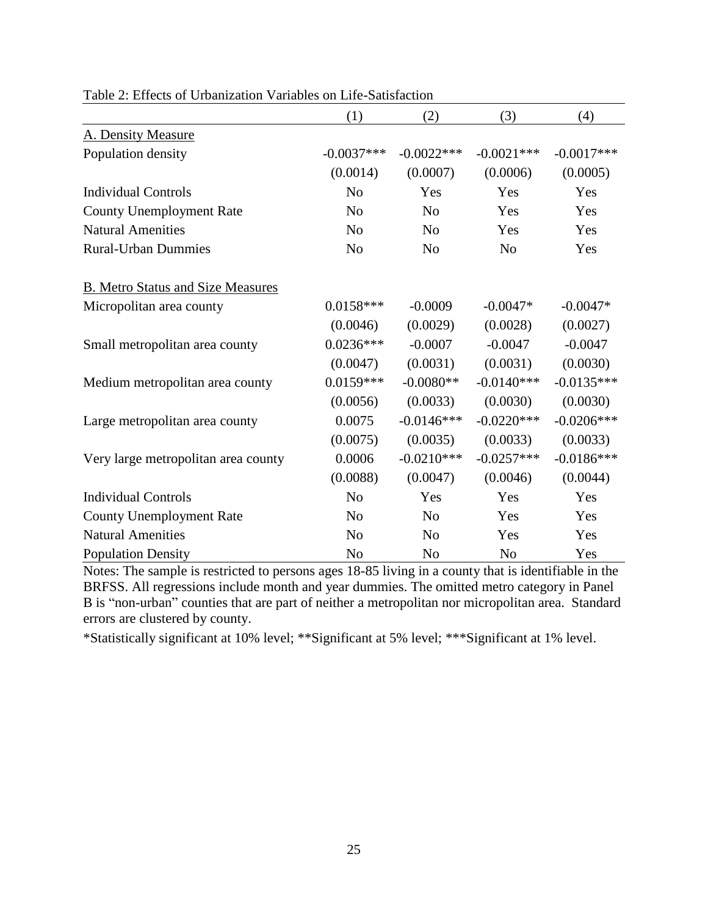|                                          | (1)            | (2)            | (3)            | (4)          |
|------------------------------------------|----------------|----------------|----------------|--------------|
| A. Density Measure                       |                |                |                |              |
| Population density                       | $-0.0037***$   | $-0.0022***$   | $-0.0021***$   | $-0.0017***$ |
|                                          | (0.0014)       | (0.0007)       | (0.0006)       | (0.0005)     |
| <b>Individual Controls</b>               | N <sub>o</sub> | Yes            | Yes            | Yes          |
| <b>County Unemployment Rate</b>          | N <sub>o</sub> | N <sub>o</sub> | Yes            | Yes          |
| <b>Natural Amenities</b>                 | N <sub>o</sub> | N <sub>o</sub> | Yes            | Yes          |
| <b>Rural-Urban Dummies</b>               | N <sub>o</sub> | N <sub>o</sub> | N <sub>o</sub> | Yes          |
| <b>B.</b> Metro Status and Size Measures |                |                |                |              |
| Micropolitan area county                 | $0.0158***$    | $-0.0009$      | $-0.0047*$     | $-0.0047*$   |
|                                          | (0.0046)       | (0.0029)       | (0.0028)       | (0.0027)     |
| Small metropolitan area county           | $0.0236***$    | $-0.0007$      | $-0.0047$      | $-0.0047$    |
|                                          | (0.0047)       | (0.0031)       | (0.0031)       | (0.0030)     |
| Medium metropolitan area county          | $0.0159***$    | $-0.0080**$    | $-0.0140***$   | $-0.0135***$ |
|                                          | (0.0056)       | (0.0033)       | (0.0030)       | (0.0030)     |
| Large metropolitan area county           | 0.0075         | $-0.0146***$   | $-0.0220***$   | $-0.0206***$ |
|                                          | (0.0075)       | (0.0035)       | (0.0033)       | (0.0033)     |
| Very large metropolitan area county      | 0.0006         | $-0.0210***$   | $-0.0257***$   | $-0.0186***$ |
|                                          | (0.0088)       | (0.0047)       | (0.0046)       | (0.0044)     |
| <b>Individual Controls</b>               | N <sub>o</sub> | Yes            | Yes            | Yes          |
| <b>County Unemployment Rate</b>          | N <sub>o</sub> | N <sub>o</sub> | Yes            | Yes          |
| <b>Natural Amenities</b>                 | N <sub>o</sub> | N <sub>o</sub> | Yes            | Yes          |
| <b>Population Density</b>                | N <sub>o</sub> | N <sub>o</sub> | N <sub>o</sub> | Yes          |

Table 2: Effects of Urbanization Variables on Life-Satisfaction

Notes: The sample is restricted to persons ages 18-85 living in a county that is identifiable in the BRFSS. All regressions include month and year dummies. The omitted metro category in Panel B is "non-urban" counties that are part of neither a metropolitan nor micropolitan area. Standard errors are clustered by county.

\*Statistically significant at 10% level; \*\*Significant at 5% level; \*\*\*Significant at 1% level.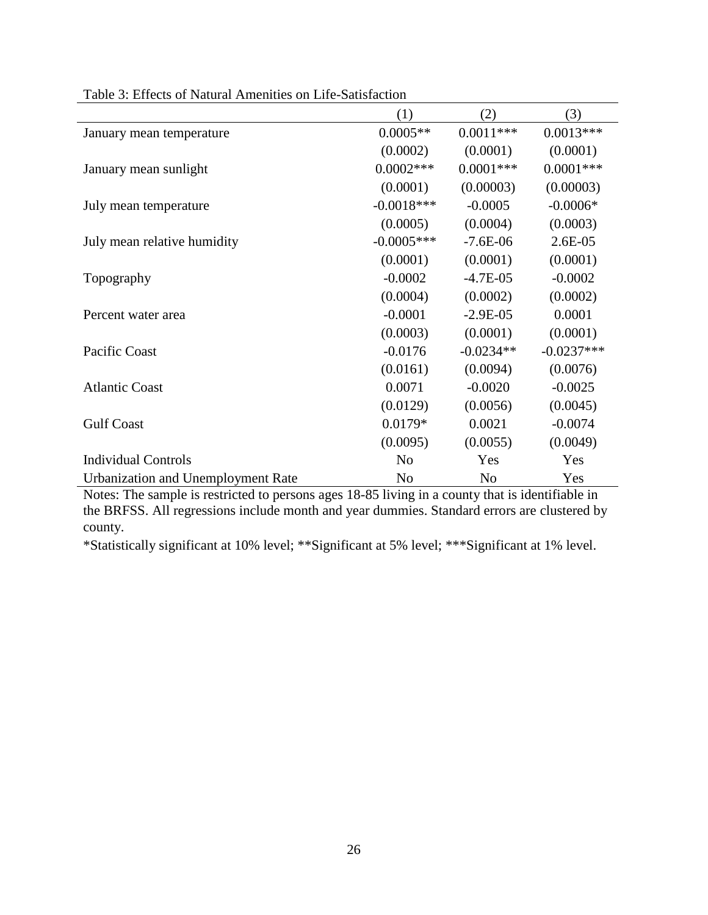|                                           | (1)            | (2)            | (3)          |
|-------------------------------------------|----------------|----------------|--------------|
| January mean temperature                  | $0.0005**$     | $0.0011***$    | $0.0013***$  |
|                                           | (0.0002)       | (0.0001)       | (0.0001)     |
| January mean sunlight                     | $0.0002***$    | $0.0001$ ***   | $0.0001$ *** |
|                                           | (0.0001)       | (0.00003)      | (0.00003)    |
| July mean temperature                     | $-0.0018***$   | $-0.0005$      | $-0.0006*$   |
|                                           | (0.0005)       | (0.0004)       | (0.0003)     |
| July mean relative humidity               | $-0.0005***$   | $-7.6E-06$     | $2.6E-05$    |
|                                           | (0.0001)       | (0.0001)       | (0.0001)     |
| Topography                                | $-0.0002$      | $-4.7E-05$     | $-0.0002$    |
|                                           | (0.0004)       | (0.0002)       | (0.0002)     |
| Percent water area                        | $-0.0001$      | $-2.9E-05$     | 0.0001       |
|                                           | (0.0003)       | (0.0001)       | (0.0001)     |
| Pacific Coast                             | $-0.0176$      | $-0.0234**$    | $-0.0237***$ |
|                                           | (0.0161)       | (0.0094)       | (0.0076)     |
| <b>Atlantic Coast</b>                     | 0.0071         | $-0.0020$      | $-0.0025$    |
|                                           | (0.0129)       | (0.0056)       | (0.0045)     |
| <b>Gulf Coast</b>                         | $0.0179*$      | 0.0021         | $-0.0074$    |
|                                           | (0.0095)       | (0.0055)       | (0.0049)     |
| <b>Individual Controls</b>                | N <sub>0</sub> | Yes            | Yes          |
| <b>Urbanization and Unemployment Rate</b> | N <sub>0</sub> | N <sub>0</sub> | Yes          |

Table 3: Effects of Natural Amenities on Life-Satisfaction

Notes: The sample is restricted to persons ages 18-85 living in a county that is identifiable in the BRFSS. All regressions include month and year dummies. Standard errors are clustered by county.

\*Statistically significant at 10% level; \*\*Significant at 5% level; \*\*\*Significant at 1% level.